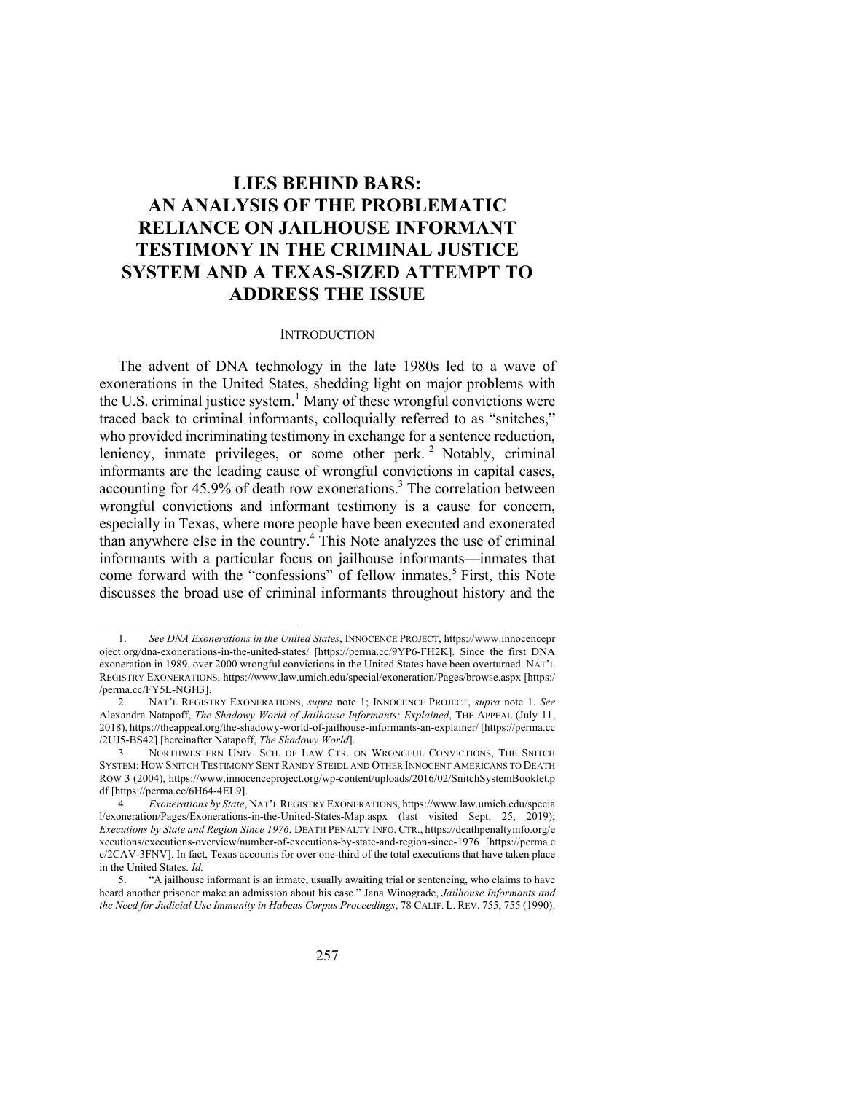# **LIES BEHIND BARS: AN ANALYSIS OF THE PROBLEMATIC RELIANCE ON JAILHOUSE INFORMANT TESTIMONY IN THE CRIMINAL JUSTICE SYSTEM AND A TEXAS-SIZED ATTEMPT TO ADDRESS THE ISSUE**

#### **INTRODUCTION**

The advent of DNA technology in the late 1980s led to a wave of exonerations in the United States, shedding light on major problems with the U.S. criminal justice system.<sup>1</sup> Many of these wrongful convictions were traced back to criminal informants, colloquially referred to as "snitches," who provided incriminating testimony in exchange for a sentence reduction, leniency, inmate privileges, or some other perk.<sup>2</sup> Notably, criminal informants are the leading cause of wrongful convictions in capital cases, accounting for 45.9% of death row exonerations.<sup>3</sup> The correlation between wrongful convictions and informant testimony is a cause for concern, especially in Texas, where more people have been executed and exonerated than anywhere else in the country. <sup>4</sup> This Note analyzes the use of criminal informants with a particular focus on jailhouse informants—inmates that come forward with the "confessions" of fellow inmates. <sup>5</sup> First, this Note discusses the broad use of criminal informants throughout history and the

<sup>1.</sup> *See DNA Exonerations in the United States*, INNOCENCE PROJECT, https://www.innocencepr oject.org/dna-exonerations-in-the-united-states/ [https://perma.cc/9YP6-FH2K]. Since the first DNA exoneration in 1989, over 2000 wrongful convictions in the United States have been overturned. NAT'L REGISTRY EXONERATIONS, https://www.law.umich.edu/special/exoneration/Pages/browse.aspx [https:/ /perma.cc/FY5L-NGH3].

<sup>2.</sup> NAT'L REGISTRY EXONERATIONS, *supra* note 1; INNOCENCE PROJECT, *supra* note 1. *See* Alexandra Natapoff, *The Shadowy World of Jailhouse Informants: Explained*, THE APPEAL (July 11, 2018), https://theappeal.org/the-shadowy-world-of-jailhouse-informants-an-explainer/ [https://perma.cc /2UJ5-BS42] [hereinafter Natapoff, *The Shadowy World*].

<sup>3.</sup> NORTHWESTERN UNIV. SCH. OF LAW CTR. ON WRONGFUL CONVICTIONS, THE SNITCH SYSTEM: HOW SNITCH TESTIMONY SENT RANDY STEIDL AND OTHER INNOCENT AMERICANS TO DEATH ROW 3 (2004), https://www.innocenceproject.org/wp-content/uploads/2016/02/SnitchSystemBooklet.p df [https://perma.cc/6H64-4EL9].<br>4. *Exonerations by State*.

<sup>4.</sup> *Exonerations by State*, NAT'L REGISTRY EXONERATIONS, https://www.law.umich.edu/specia l/exoneration/Pages/Exonerations-in-the-United-States-Map.aspx (last visited Sept. 25, 2019); *Executions by State and Region Since 1976*, DEATH PENALTY INFO. CTR., https://deathpenaltyinfo.org/e xecutions/executions-overview/number-of-executions-by-state-and-region-since-1976 [https://perma.c c/2CAV-3FNV]. In fact, Texas accounts for over one-third of the total executions that have taken place in the United States. *Id.*

<sup>5.</sup> "A jailhouse informant is an inmate, usually awaiting trial or sentencing, who claims to have heard another prisoner make an admission about his case." Jana Winograde, *Jailhouse Informants and the Need for Judicial Use Immunity in Habeas Corpus Proceedings*, 78 CALIF. L. REV. 755, 755 (1990).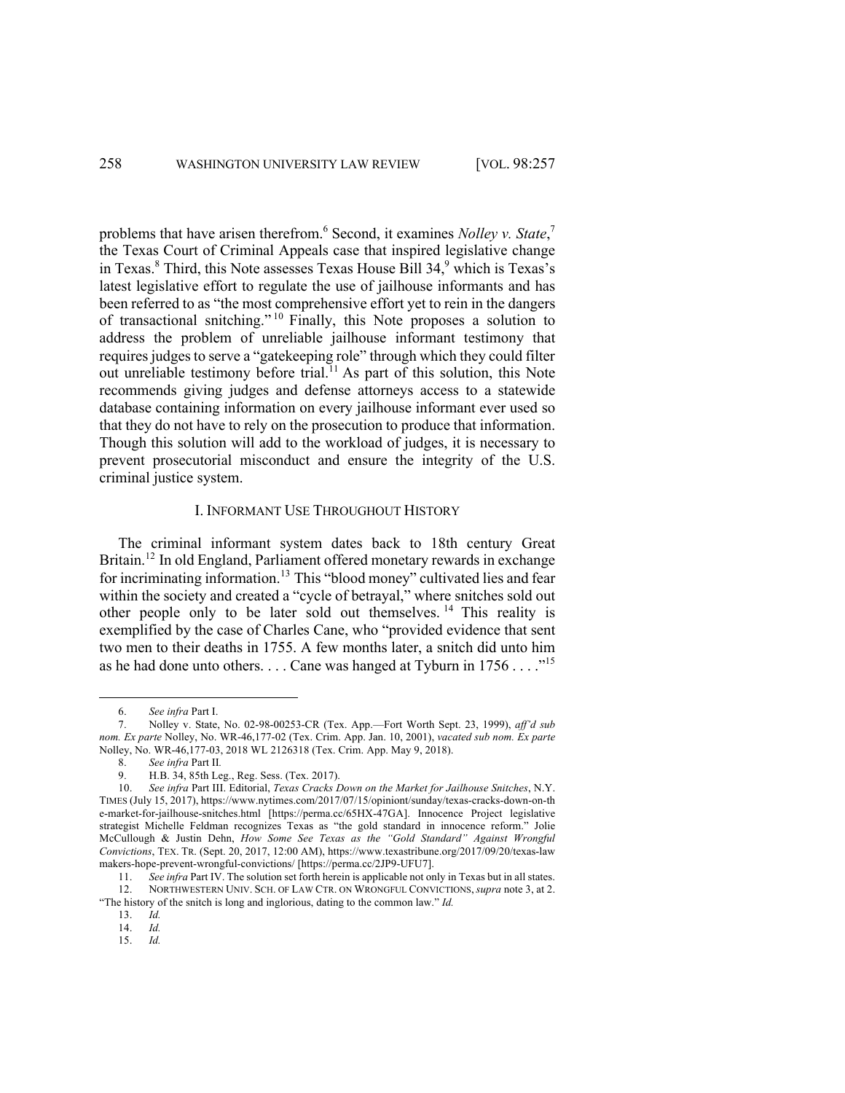problems that have arisen therefrom.<sup>6</sup> Second, it examines *Nolley v. State*,<sup>7</sup> the Texas Court of Criminal Appeals case that inspired legislative change in Texas. $8$  Third, this Note assesses Texas House Bill 34, $9$  which is Texas's latest legislative effort to regulate the use of jailhouse informants and has been referred to as "the most comprehensive effort yet to rein in the dangers of transactional snitching." <sup>10</sup> Finally, this Note proposes a solution to address the problem of unreliable jailhouse informant testimony that requires judges to serve a "gatekeeping role" through which they could filter out unreliable testimony before trial.<sup>11</sup> As part of this solution, this Note recommends giving judges and defense attorneys access to a statewide database containing information on every jailhouse informant ever used so that they do not have to rely on the prosecution to produce that information. Though this solution will add to the workload of judges, it is necessary to prevent prosecutorial misconduct and ensure the integrity of the U.S. criminal justice system.

## I. INFORMANT USE THROUGHOUT HISTORY

The criminal informant system dates back to 18th century Great Britain.<sup>12</sup> In old England, Parliament offered monetary rewards in exchange for incriminating information.<sup>13</sup> This "blood money" cultivated lies and fear within the society and created a "cycle of betrayal," where snitches sold out other people only to be later sold out themselves.<sup>14</sup> This reality is exemplified by the case of Charles Cane, who "provided evidence that sent two men to their deaths in 1755. A few months later, a snitch did unto him as he had done unto others. . . . Cane was hanged at Tyburn in  $1756...$ <sup>15</sup>

13. *Id.*

14. *Id.*

15. *Id.*

<sup>6.</sup> *See infra* Part I.

<sup>7.</sup> Nolley v. State, No. 02-98-00253-CR (Tex. App.—Fort Worth Sept. 23, 1999), *aff'd sub nom. Ex parte* Nolley, No. WR-46,177-02 (Tex. Crim. App. Jan. 10, 2001), *vacated sub nom. Ex parte*  Nolley, No. WR-46,177-03, 2018 WL 2126318 (Tex. Crim. App. May 9, 2018).<br>8. See infra Part II.

<sup>8.</sup> *See infra* Part II*.* 

<sup>9.</sup> H.B. 34, 85th Leg., Reg. Sess. (Tex. 2017).

<sup>10.</sup> *See infra* Part III. Editorial, *Texas Cracks Down on the Market for Jailhouse Snitches*, N.Y. TIMES (July 15, 2017), https://www.nytimes.com/2017/07/15/opiniont/sunday/texas-cracks-down-on-th e-market-for-jailhouse-snitches.html [https://perma.cc/65HX-47GA]. Innocence Project legislative strategist Michelle Feldman recognizes Texas as "the gold standard in innocence reform." Jolie McCullough & Justin Dehn, *How Some See Texas as the "Gold Standard" Against Wrongful Convictions*, TEX. TR. (Sept. 20, 2017, 12:00 AM), https://www.texastribune.org/2017/09/20/texas-law makers-hope-prevent-wrongful-convictions/ [https://perma.cc/2JP9-UFU7].

<sup>11.</sup> *See infra* Part IV. The solution set forth herein is applicable not only in Texas but in all states. 12. NORTHWESTERN UNIV. SCH. OF LAW CTR. ON WRONGFUL CONVICTIONS, *supra* note 3, at 2. "The history of the snitch is long and inglorious, dating to the common law." *Id.*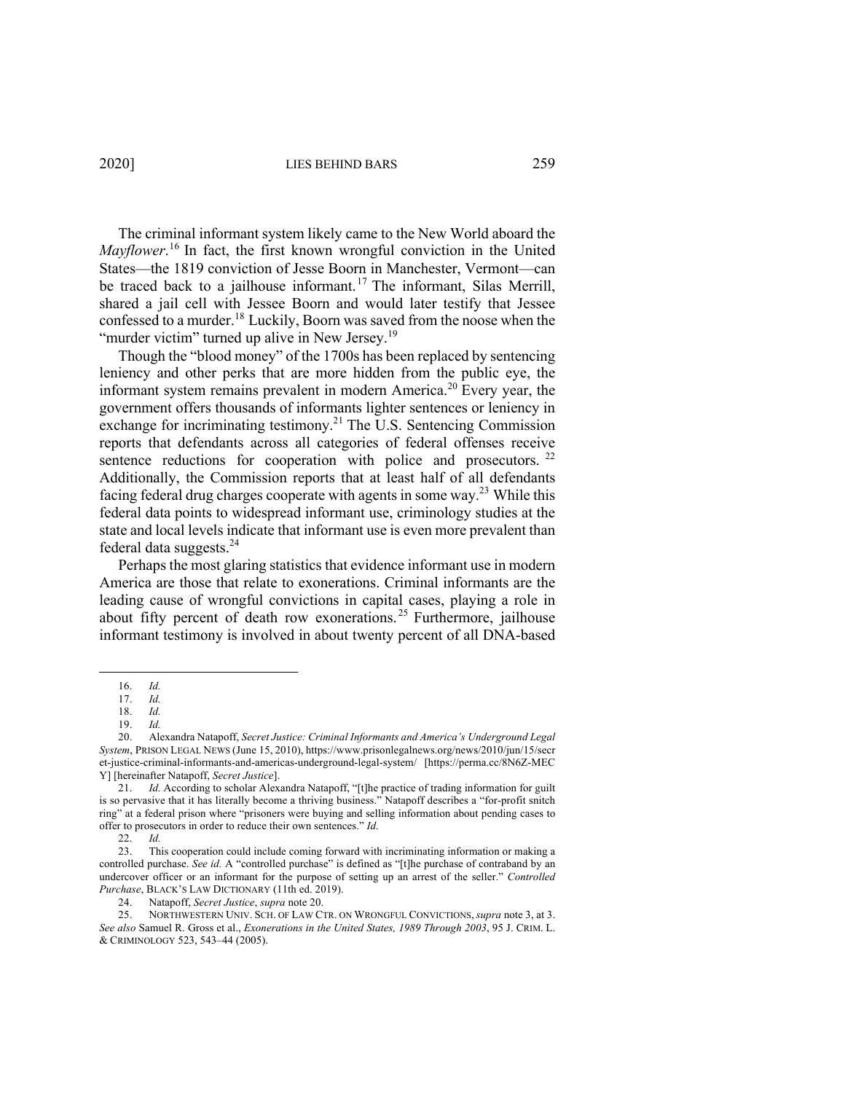The criminal informant system likely came to the New World aboard the *Mayflower*. <sup>16</sup> In fact, the first known wrongful conviction in the United States—the 1819 conviction of Jesse Boorn in Manchester, Vermont—can be traced back to a jailhouse informant.<sup>17</sup> The informant, Silas Merrill, shared a jail cell with Jessee Boorn and would later testify that Jessee confessed to a murder.<sup>18</sup> Luckily, Boorn was saved from the noose when the "murder victim" turned up alive in New Jersey.<sup>19</sup>

Though the "blood money" of the 1700s has been replaced by sentencing leniency and other perks that are more hidden from the public eye, the informant system remains prevalent in modern America.<sup>20</sup> Every year, the government offers thousands of informants lighter sentences or leniency in exchange for incriminating testimony.<sup>21</sup> The U.S. Sentencing Commission reports that defendants across all categories of federal offenses receive sentence reductions for cooperation with police and prosecutors. <sup>22</sup> Additionally, the Commission reports that at least half of all defendants facing federal drug charges cooperate with agents in some way.<sup>23</sup> While this federal data points to widespread informant use, criminology studies at the state and local levels indicate that informant use is even more prevalent than federal data suggests. $^{24}$ 

Perhaps the most glaring statistics that evidence informant use in modern America are those that relate to exonerations. Criminal informants are the leading cause of wrongful convictions in capital cases, playing a role in about fifty percent of death row exonerations. <sup>25</sup> Furthermore, jailhouse informant testimony is involved in about twenty percent of all DNA-based

<sup>16.</sup> *Id.*

<sup>17.</sup> *Id.*

<sup>18.</sup> *Id.*

<sup>19.</sup> *Id.*

<sup>20.</sup> Alexandra Natapoff, *Secret Justice: Criminal Informants and America's Underground Legal System*, PRISON LEGAL NEWS (June 15, 2010), https://www.prisonlegalnews.org/news/2010/jun/15/secr et-justice-criminal-informants-and-americas-underground-legal-system/ [https://perma.cc/8N6Z-MEC Y] [hereinafter Natapoff, *Secret Justice*].

<sup>21.</sup> *Id.* According to scholar Alexandra Natapoff, "[t]he practice of trading information for guilt is so pervasive that it has literally become a thriving business." Natapoff describes a "for-profit snitch ring" at a federal prison where "prisoners were buying and selling information about pending cases to offer to prosecutors in order to reduce their own sentences." *Id.*

<sup>22.</sup> *Id.*

<sup>23.</sup> This cooperation could include coming forward with incriminating information or making a controlled purchase. *See id.* A "controlled purchase" is defined as "[t]he purchase of contraband by an undercover officer or an informant for the purpose of setting up an arrest of the seller." *Controlled Purchase*, BLACK'S LAW DICTIONARY (11th ed. 2019).

<sup>24.</sup> Natapoff, *Secret Justice*, *supra* note 20.

<sup>25.</sup> NORTHWESTERN UNIV. SCH. OF LAW CTR. ON WRONGFUL CONVICTIONS, *supra* note 3, at 3. *See also* Samuel R. Gross et al., *Exonerations in the United States, 1989 Through 2003*, 95 J. CRIM. L. & CRIMINOLOGY 523, 543–44 (2005).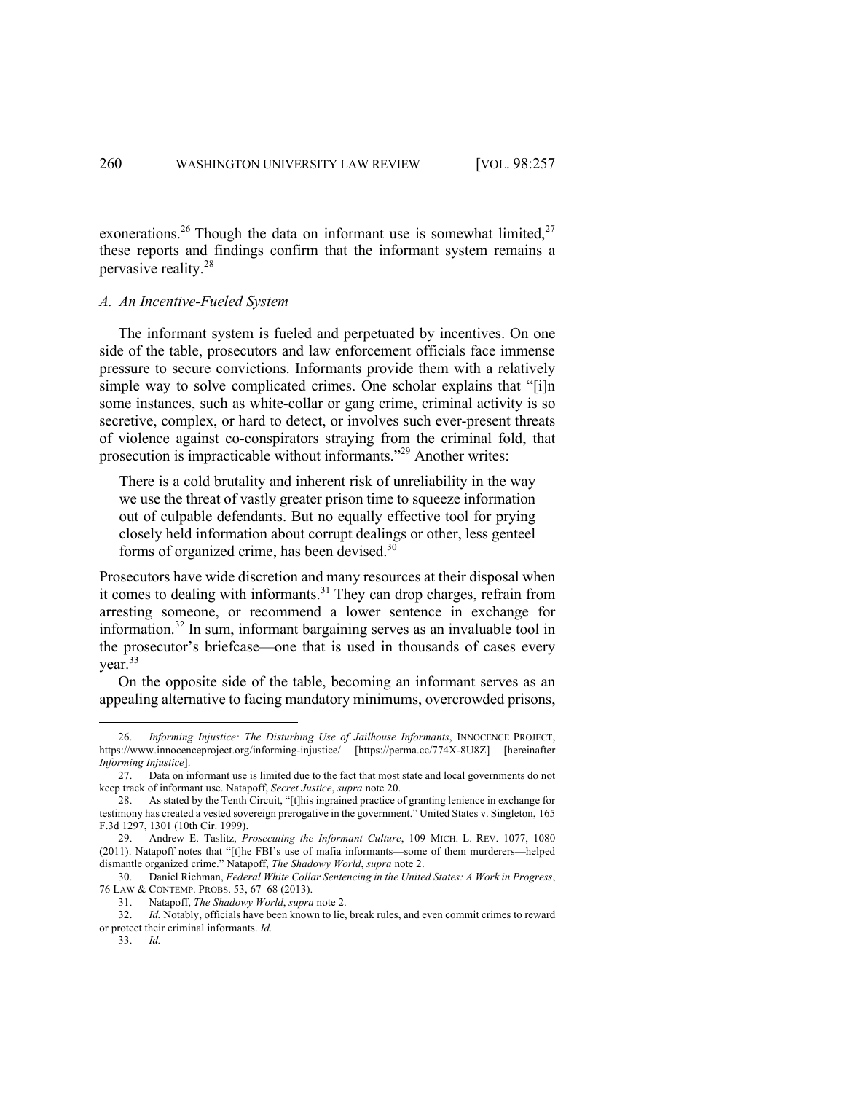exonerations.<sup>26</sup> Though the data on informant use is somewhat limited, $27$ these reports and findings confirm that the informant system remains a pervasive reality.<sup>28</sup>

#### *A. An Incentive-Fueled System*

The informant system is fueled and perpetuated by incentives. On one side of the table, prosecutors and law enforcement officials face immense pressure to secure convictions. Informants provide them with a relatively simple way to solve complicated crimes. One scholar explains that "[i]n some instances, such as white-collar or gang crime, criminal activity is so secretive, complex, or hard to detect, or involves such ever-present threats of violence against co-conspirators straying from the criminal fold, that prosecution is impracticable without informants."29 Another writes:

There is a cold brutality and inherent risk of unreliability in the way we use the threat of vastly greater prison time to squeeze information out of culpable defendants. But no equally effective tool for prying closely held information about corrupt dealings or other, less genteel forms of organized crime, has been devised.30

Prosecutors have wide discretion and many resources at their disposal when it comes to dealing with informants.<sup>31</sup> They can drop charges, refrain from arresting someone, or recommend a lower sentence in exchange for information.<sup>32</sup> In sum, informant bargaining serves as an invaluable tool in the prosecutor's briefcase—one that is used in thousands of cases every year. 33

On the opposite side of the table, becoming an informant serves as an appealing alternative to facing mandatory minimums, overcrowded prisons,

<sup>26.</sup> *Informing Injustice: The Disturbing Use of Jailhouse Informants*, INNOCENCE PROJECT, https://www.innocenceproject.org/informing-injustice/ [https://perma.cc/774X-8U8Z] [hereinafter *Informing Injustice*].

<sup>27.</sup> Data on informant use is limited due to the fact that most state and local governments do not keep track of informant use. Natapoff, *Secret Justice*, *supra* note 20.

<sup>28.</sup> As stated by the Tenth Circuit, "[t]his ingrained practice of granting lenience in exchange for testimony has created a vested sovereign prerogative in the government." United States v. Singleton, 165 F.3d 1297, 1301 (10th Cir. 1999).

<sup>29.</sup> Andrew E. Taslitz, *Prosecuting the Informant Culture*, 109 MICH. L. REV. 1077, 1080 (2011). Natapoff notes that "[t]he FBI's use of mafia informants—some of them murderers—helped dismantle organized crime." Natapoff, *The Shadowy World*, *supra* note 2.

<sup>30.</sup> Daniel Richman, *Federal White Collar Sentencing in the United States: A Work in Progress*, 76 LAW & CONTEMP. PROBS. 53, 67–68 (2013).

<sup>31.</sup> Natapoff, *The Shadowy World*, *supra* note 2.

<sup>32.</sup> *Id.* Notably, officials have been known to lie, break rules, and even commit crimes to reward or protect their criminal informants. *Id.*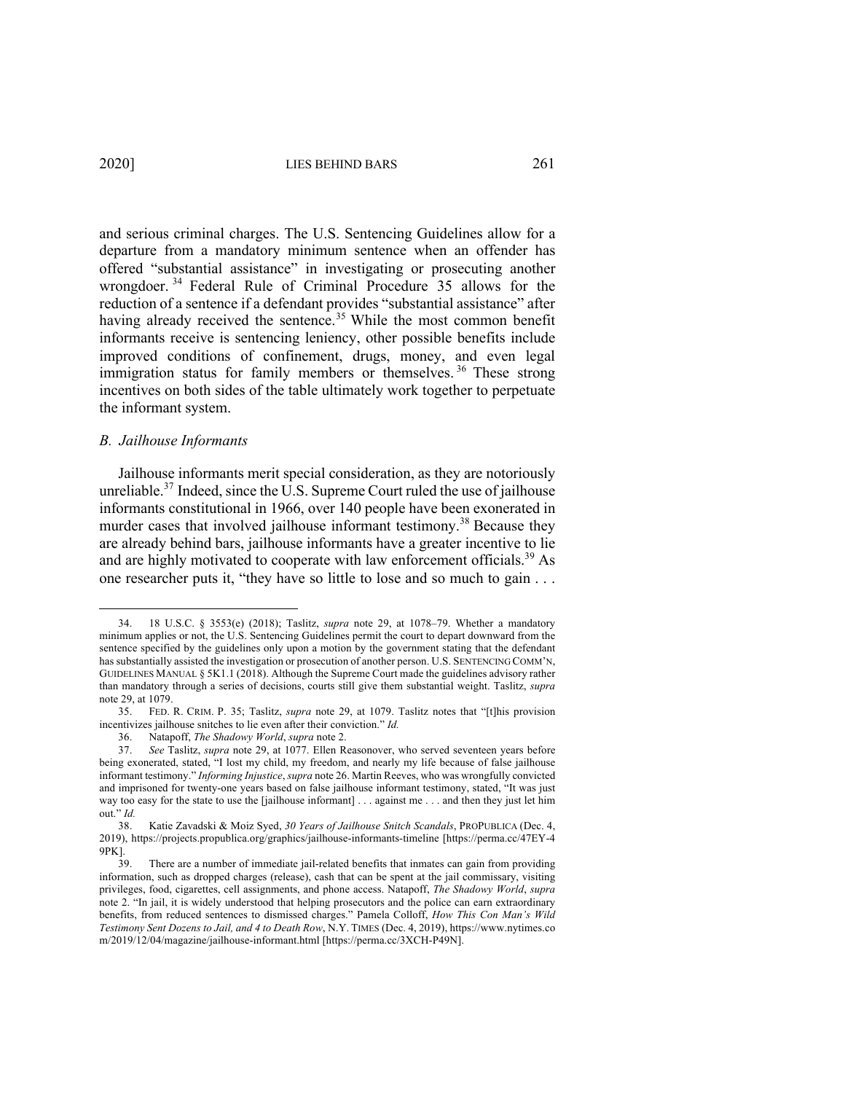and serious criminal charges. The U.S. Sentencing Guidelines allow for a departure from a mandatory minimum sentence when an offender has offered "substantial assistance" in investigating or prosecuting another wrongdoer. <sup>34</sup> Federal Rule of Criminal Procedure 35 allows for the reduction of a sentence if a defendant provides "substantial assistance" after having already received the sentence.<sup>35</sup> While the most common benefit informants receive is sentencing leniency, other possible benefits include improved conditions of confinement, drugs, money, and even legal immigration status for family members or themselves.<sup>36</sup> These strong incentives on both sides of the table ultimately work together to perpetuate the informant system.

## *B. Jailhouse Informants*

Jailhouse informants merit special consideration, as they are notoriously unreliable.<sup>37</sup> Indeed, since the U.S. Supreme Court ruled the use of jailhouse informants constitutional in 1966, over 140 people have been exonerated in murder cases that involved jailhouse informant testimony.<sup>38</sup> Because they are already behind bars, jailhouse informants have a greater incentive to lie and are highly motivated to cooperate with law enforcement officials.<sup>39</sup> As one researcher puts it, "they have so little to lose and so much to gain . . .

<sup>34.</sup> 18 U.S.C. § 3553(e) (2018); Taslitz, *supra* note 29, at 1078–79. Whether a mandatory minimum applies or not, the U.S. Sentencing Guidelines permit the court to depart downward from the sentence specified by the guidelines only upon a motion by the government stating that the defendant has substantially assisted the investigation or prosecution of another person. U.S. SENTENCING COMM'N, GUIDELINES MANUAL § 5K1.1 (2018). Although the Supreme Court made the guidelines advisory rather than mandatory through a series of decisions, courts still give them substantial weight. Taslitz, *supra*  note 29, at 1079.

<sup>35.</sup> FED. R. CRIM. P. 35; Taslitz, *supra* note 29, at 1079. Taslitz notes that "[t]his provision incentivizes jailhouse snitches to lie even after their conviction." *Id.*

<sup>36.</sup> Natapoff, *The Shadowy World*, *supra* note 2.

<sup>37.</sup> *See* Taslitz, *supra* note 29, at 1077. Ellen Reasonover, who served seventeen years before being exonerated, stated, "I lost my child, my freedom, and nearly my life because of false jailhouse informant testimony." *Informing Injustice*, *supra* note 26. Martin Reeves, who was wrongfully convicted and imprisoned for twenty-one years based on false jailhouse informant testimony, stated, "It was just way too easy for the state to use the [jailhouse informant] . . . against me . . . and then they just let him out." *Id.*

<sup>38.</sup> Katie Zavadski & Moiz Syed, *30 Years of Jailhouse Snitch Scandals*, PROPUBLICA (Dec. 4, 2019), https://projects.propublica.org/graphics/jailhouse-informants-timeline [https://perma.cc/47EY-4 9PK].<br>39.

There are a number of immediate jail-related benefits that inmates can gain from providing information, such as dropped charges (release), cash that can be spent at the jail commissary, visiting privileges, food, cigarettes, cell assignments, and phone access. Natapoff, *The Shadowy World*, *supra* note 2. "In jail, it is widely understood that helping prosecutors and the police can earn extraordinary benefits, from reduced sentences to dismissed charges." Pamela Colloff, *How This Con Man's Wild Testimony Sent Dozens to Jail, and 4 to Death Row*, N.Y. TIMES (Dec. 4, 2019), https://www.nytimes.co m/2019/12/04/magazine/jailhouse-informant.html [https://perma.cc/3XCH-P49N].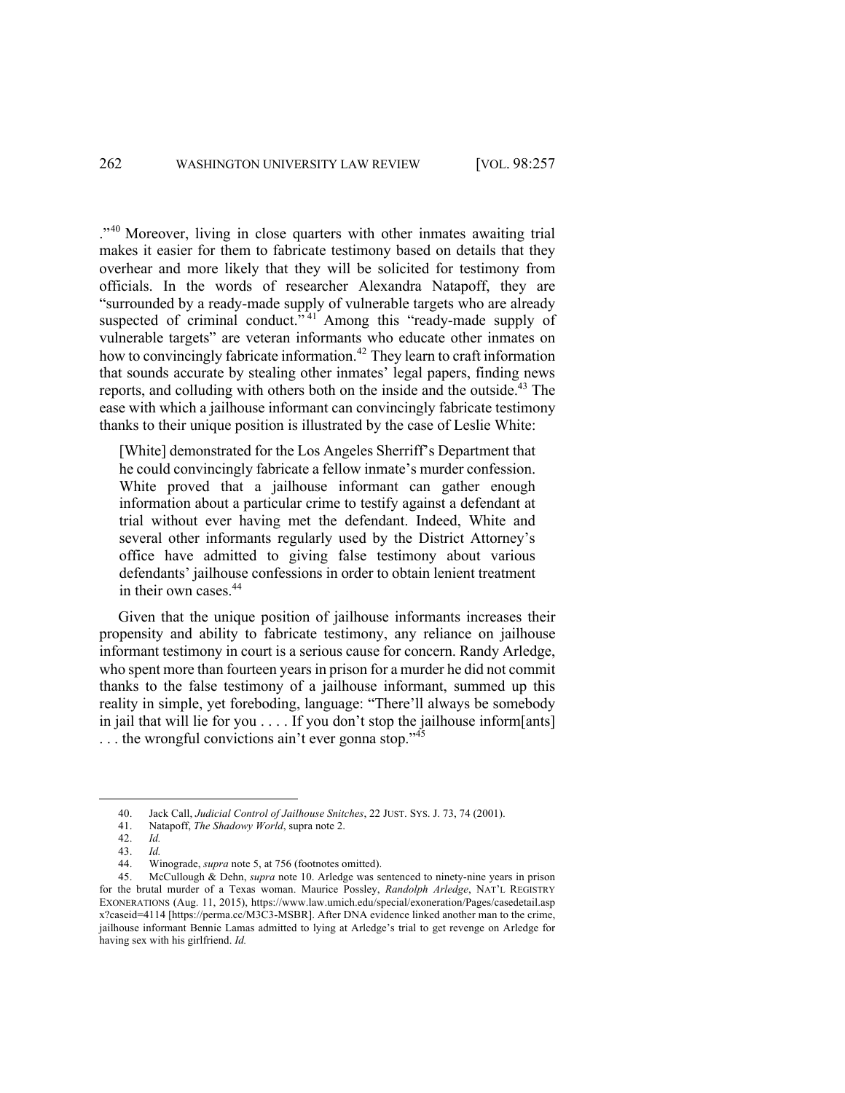."<sup>40</sup> Moreover, living in close quarters with other inmates awaiting trial makes it easier for them to fabricate testimony based on details that they overhear and more likely that they will be solicited for testimony from officials. In the words of researcher Alexandra Natapoff, they are "surrounded by a ready-made supply of vulnerable targets who are already suspected of criminal conduct."<sup>41</sup> Among this "ready-made supply of vulnerable targets" are veteran informants who educate other inmates on how to convincingly fabricate information.<sup>42</sup> They learn to craft information that sounds accurate by stealing other inmates' legal papers, finding news reports, and colluding with others both on the inside and the outside.<sup>43</sup> The ease with which a jailhouse informant can convincingly fabricate testimony thanks to their unique position is illustrated by the case of Leslie White:

[White] demonstrated for the Los Angeles Sherriff's Department that he could convincingly fabricate a fellow inmate's murder confession. White proved that a jailhouse informant can gather enough information about a particular crime to testify against a defendant at trial without ever having met the defendant. Indeed, White and several other informants regularly used by the District Attorney's office have admitted to giving false testimony about various defendants' jailhouse confessions in order to obtain lenient treatment in their own cases. 44

Given that the unique position of jailhouse informants increases their propensity and ability to fabricate testimony, any reliance on jailhouse informant testimony in court is a serious cause for concern. Randy Arledge, who spent more than fourteen years in prison for a murder he did not commit thanks to the false testimony of a jailhouse informant, summed up this reality in simple, yet foreboding, language: "There'll always be somebody in jail that will lie for you . . . . If you don't stop the jailhouse inform[ants] ... the wrongful convictions ain't ever gonna stop."<sup>45</sup>

<sup>40.</sup> Jack Call, *Judicial Control of Jailhouse Snitches*, 22 JUST. SYS. J. 73, 74 (2001).

<sup>41.</sup> Natapoff, *The Shadowy World*, supra note 2.

<sup>42.</sup> *Id.* 

<sup>43.</sup> *Id.*

Winograde, *supra* note 5, at 756 (footnotes omitted).

<sup>45.</sup> McCullough & Dehn, *supra* note 10. Arledge was sentenced to ninety-nine years in prison for the brutal murder of a Texas woman. Maurice Possley, *Randolph Arledge*, NAT'L REGISTRY EXONERATIONS (Aug. 11, 2015), https://www.law.umich.edu/special/exoneration/Pages/casedetail.asp x?caseid=4114 [https://perma.cc/M3C3-MSBR]. After DNA evidence linked another man to the crime, jailhouse informant Bennie Lamas admitted to lying at Arledge's trial to get revenge on Arledge for having sex with his girlfriend. *Id.*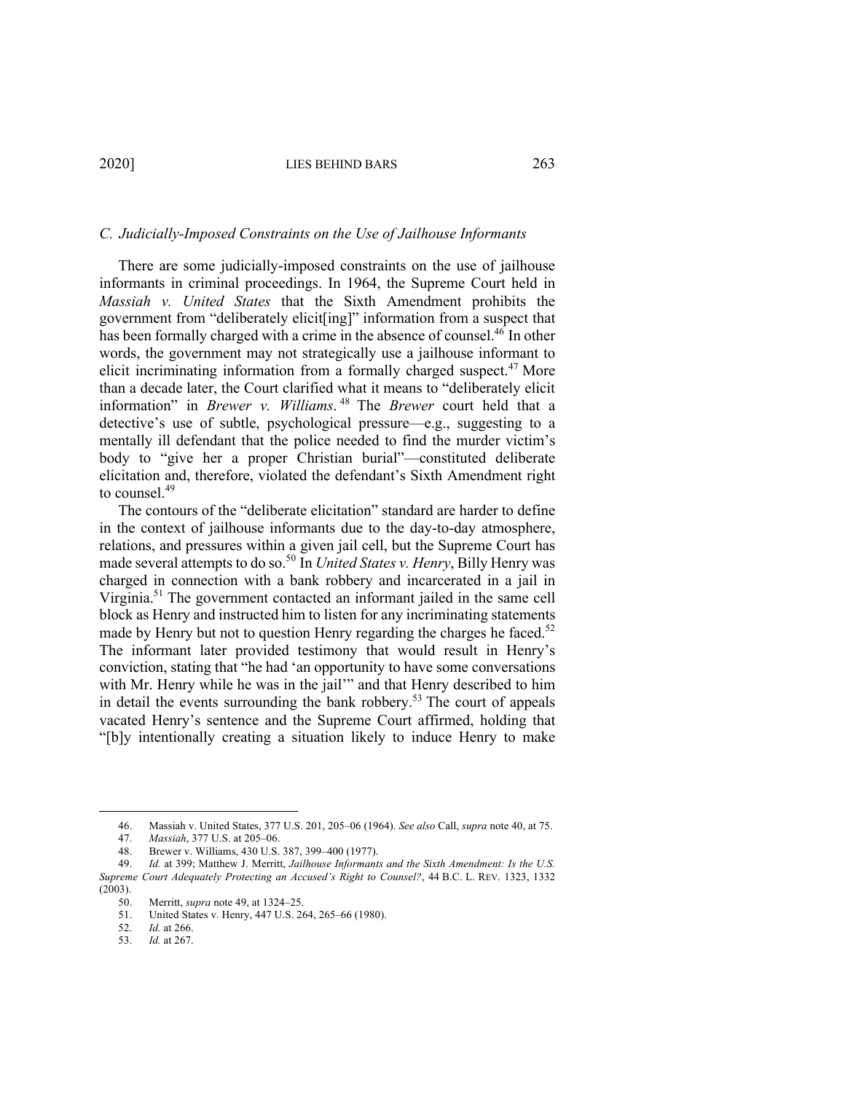#### *C. Judicially-Imposed Constraints on the Use of Jailhouse Informants*

There are some judicially-imposed constraints on the use of jailhouse informants in criminal proceedings. In 1964, the Supreme Court held in *Massiah v. United States* that the Sixth Amendment prohibits the government from "deliberately elicit[ing]" information from a suspect that has been formally charged with a crime in the absence of counsel.<sup>46</sup> In other words, the government may not strategically use a jailhouse informant to elicit incriminating information from a formally charged suspect.<sup>47</sup> More than a decade later, the Court clarified what it means to "deliberately elicit information" in *Brewer v. Williams*. <sup>48</sup> The *Brewer* court held that a detective's use of subtle, psychological pressure—e.g., suggesting to a mentally ill defendant that the police needed to find the murder victim's body to "give her a proper Christian burial"—constituted deliberate elicitation and, therefore, violated the defendant's Sixth Amendment right to counsel. 49

The contours of the "deliberate elicitation" standard are harder to define in the context of jailhouse informants due to the day-to-day atmosphere, relations, and pressures within a given jail cell, but the Supreme Court has made several attempts to do so. <sup>50</sup> In *United States v. Henry*, Billy Henry was charged in connection with a bank robbery and incarcerated in a jail in Virginia.51 The government contacted an informant jailed in the same cell block as Henry and instructed him to listen for any incriminating statements made by Henry but not to question Henry regarding the charges he faced.<sup>52</sup> The informant later provided testimony that would result in Henry's conviction, stating that "he had 'an opportunity to have some conversations with Mr. Henry while he was in the jail'" and that Henry described to him in detail the events surrounding the bank robbery.<sup>53</sup> The court of appeals vacated Henry's sentence and the Supreme Court affirmed, holding that "[b]y intentionally creating a situation likely to induce Henry to make

<sup>46.</sup> Massiah v. United States, 377 U.S. 201, 205–06 (1964). *See also* Call, *supra* note 40, at 75.

<sup>47.</sup> *Massiah*, 377 U.S. at 205–06.

<sup>48.</sup> Brewer v. Williams, 430 U.S. 387, 399–400 (1977).<br>49 Id. at 399: Matthew J. Merritt, Jailhouse Informant

<sup>49.</sup> *Id.* at 399; Matthew J. Merritt, *Jailhouse Informants and the Sixth Amendment: Is the U.S. Supreme Court Adequately Protecting an Accused's Right to Counsel?*, 44 B.C. L. REV. 1323, 1332 (2003).

<sup>50.</sup> Merritt, *supra* note 49, at 1324–25.

<sup>51.</sup> United States v. Henry, 447 U.S. 264, 265–66 (1980).

<sup>52.</sup> *Id.* at 266.

<sup>53.</sup> *Id.* at 267.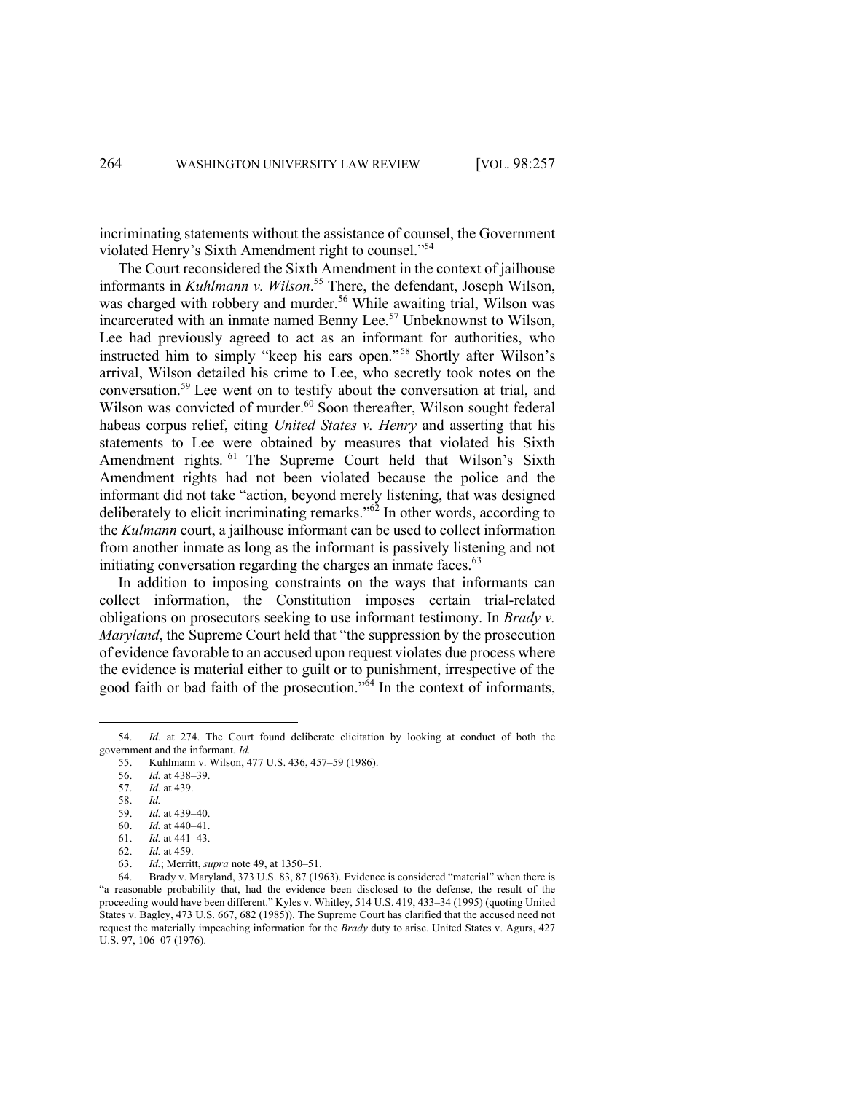incriminating statements without the assistance of counsel, the Government violated Henry's Sixth Amendment right to counsel."54

The Court reconsidered the Sixth Amendment in the context of jailhouse informants in *Kuhlmann v. Wilson*. <sup>55</sup> There, the defendant, Joseph Wilson, was charged with robbery and murder.<sup>56</sup> While awaiting trial, Wilson was incarcerated with an inmate named Benny Lee.<sup>57</sup> Unbeknownst to Wilson, Lee had previously agreed to act as an informant for authorities, who instructed him to simply "keep his ears open."<sup>58</sup> Shortly after Wilson's arrival, Wilson detailed his crime to Lee, who secretly took notes on the conversation.<sup>59</sup> Lee went on to testify about the conversation at trial, and Wilson was convicted of murder.<sup>60</sup> Soon thereafter, Wilson sought federal habeas corpus relief, citing *United States v. Henry* and asserting that his statements to Lee were obtained by measures that violated his Sixth Amendment rights. <sup>61</sup> The Supreme Court held that Wilson's Sixth Amendment rights had not been violated because the police and the informant did not take "action, beyond merely listening, that was designed deliberately to elicit incriminating remarks."62 In other words, according to the *Kulmann* court, a jailhouse informant can be used to collect information from another inmate as long as the informant is passively listening and not initiating conversation regarding the charges an inmate faces. $63$ 

In addition to imposing constraints on the ways that informants can collect information, the Constitution imposes certain trial-related obligations on prosecutors seeking to use informant testimony. In *Brady v. Maryland*, the Supreme Court held that "the suppression by the prosecution of evidence favorable to an accused upon request violates due process where the evidence is material either to guilt or to punishment, irrespective of the good faith or bad faith of the prosecution." $\delta$ <sup>4</sup> In the context of informants,

<sup>54.</sup> *Id.* at 274. The Court found deliberate elicitation by looking at conduct of both the government and the informant. *Id.*<br>55. Kuhlmann v. Wilson, 4

<sup>55.</sup> Kuhlmann v. Wilson, 477 U.S. 436, 457–59 (1986).

<sup>56.</sup> *Id.* at 438–39.

<sup>57.</sup> *Id.* at 439.

<sup>58.</sup> *Id.*

<sup>59.</sup> *Id.* at 439–40.

<sup>60.</sup> *Id.* at 440–41.

<sup>61.</sup> *Id.* at 441–43.

<sup>62.</sup> *Id.* at 459.

*Id.*; Merritt, *supra* note 49, at 1350–51.

<sup>64.</sup> Brady v. Maryland, 373 U.S. 83, 87 (1963). Evidence is considered "material" when there is "a reasonable probability that, had the evidence been disclosed to the defense, the result of the proceeding would have been different." Kyles v. Whitley, 514 U.S. 419, 433–34 (1995) (quoting United States v. Bagley, 473 U.S. 667, 682 (1985)). The Supreme Court has clarified that the accused need not request the materially impeaching information for the *Brady* duty to arise. United States v. Agurs, 427 U.S. 97, 106–07 (1976).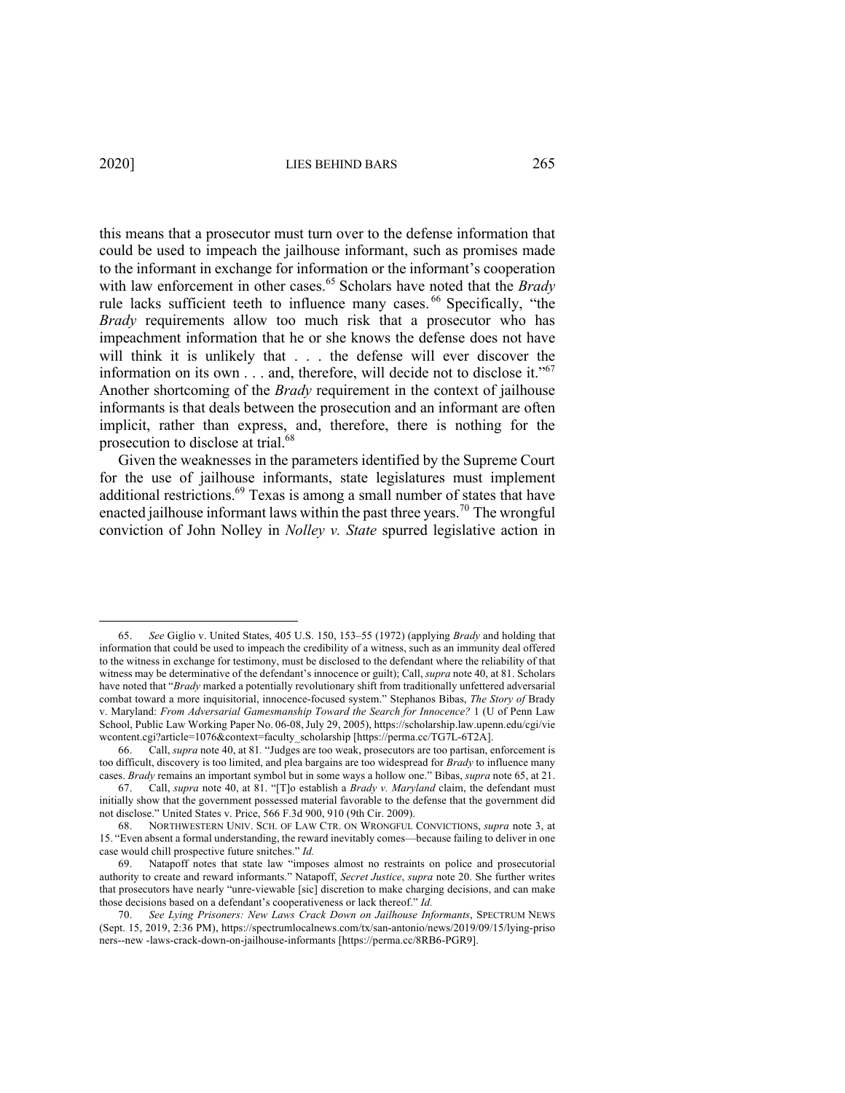this means that a prosecutor must turn over to the defense information that could be used to impeach the jailhouse informant, such as promises made to the informant in exchange for information or the informant's cooperation with law enforcement in other cases.<sup>65</sup> Scholars have noted that the *Brady* rule lacks sufficient teeth to influence many cases. <sup>66</sup> Specifically, "the *Brady* requirements allow too much risk that a prosecutor who has impeachment information that he or she knows the defense does not have will think it is unlikely that . . . the defense will ever discover the information on its own . . . and, therefore, will decide not to disclose it."<sup>67</sup> Another shortcoming of the *Brady* requirement in the context of jailhouse informants is that deals between the prosecution and an informant are often implicit, rather than express, and, therefore, there is nothing for the prosecution to disclose at trial.<sup>68</sup>

Given the weaknesses in the parameters identified by the Supreme Court for the use of jailhouse informants, state legislatures must implement additional restrictions.<sup>69</sup> Texas is among a small number of states that have enacted jailhouse informant laws within the past three years.<sup>70</sup> The wrongful conviction of John Nolley in *Nolley v. State* spurred legislative action in

<sup>65.</sup> *See* Giglio v. United States, 405 U.S. 150, 153–55 (1972) (applying *Brady* and holding that information that could be used to impeach the credibility of a witness, such as an immunity deal offered to the witness in exchange for testimony, must be disclosed to the defendant where the reliability of that witness may be determinative of the defendant's innocence or guilt); Call, *supra* note 40, at 81. Scholars have noted that "*Brady* marked a potentially revolutionary shift from traditionally unfettered adversarial combat toward a more inquisitorial, innocence-focused system." Stephanos Bibas, *The Story of* Brady v. Maryland: *From Adversarial Gamesmanship Toward the Search for Innocence?* 1 (U of Penn Law School, Public Law Working Paper No. 06-08,July 29, 2005), https://scholarship.law.upenn.edu/cgi/vie wcontent.cgi?article=1076&context=faculty\_scholarship [https://perma.cc/TG7L-6T2A].

<sup>66.</sup> Call, *supra* note 40, at 81*.* "Judges are too weak, prosecutors are too partisan, enforcement is too difficult, discovery is too limited, and plea bargains are too widespread for *Brady* to influence many cases. *Brady* remains an important symbol but in some ways a hollow one." Bibas, *supra* note 65, at 21.

<sup>67.</sup> Call, *supra* note 40, at 81. "[T]o establish a *Brady v. Maryland* claim, the defendant must initially show that the government possessed material favorable to the defense that the government did not disclose." United States v. Price, 566 F.3d 900, 910 (9th Cir. 2009).

<sup>68.</sup> NORTHWESTERN UNIV. SCH. OF LAW CTR. ON WRONGFUL CONVICTIONS, *supra* note 3, at 15. "Even absent a formal understanding, the reward inevitably comes—because failing to deliver in one case would chill prospective future snitches." *Id.*

Natapoff notes that state law "imposes almost no restraints on police and prosecutorial authority to create and reward informants." Natapoff, *Secret Justice*, *supra* note 20. She further writes that prosecutors have nearly "unre-viewable [sic] discretion to make charging decisions, and can make those decisions based on a defendant's cooperativeness or lack thereof." *Id.*

<sup>70.</sup> *See Lying Prisoners: New Laws Crack Down on Jailhouse Informants*, SPECTRUM NEWS (Sept. 15, 2019, 2:36 PM), https://spectrumlocalnews.com/tx/san-antonio/news/2019/09/15/lying-priso ners--new -laws-crack-down-on-jailhouse-informants [https://perma.cc/8RB6-PGR9].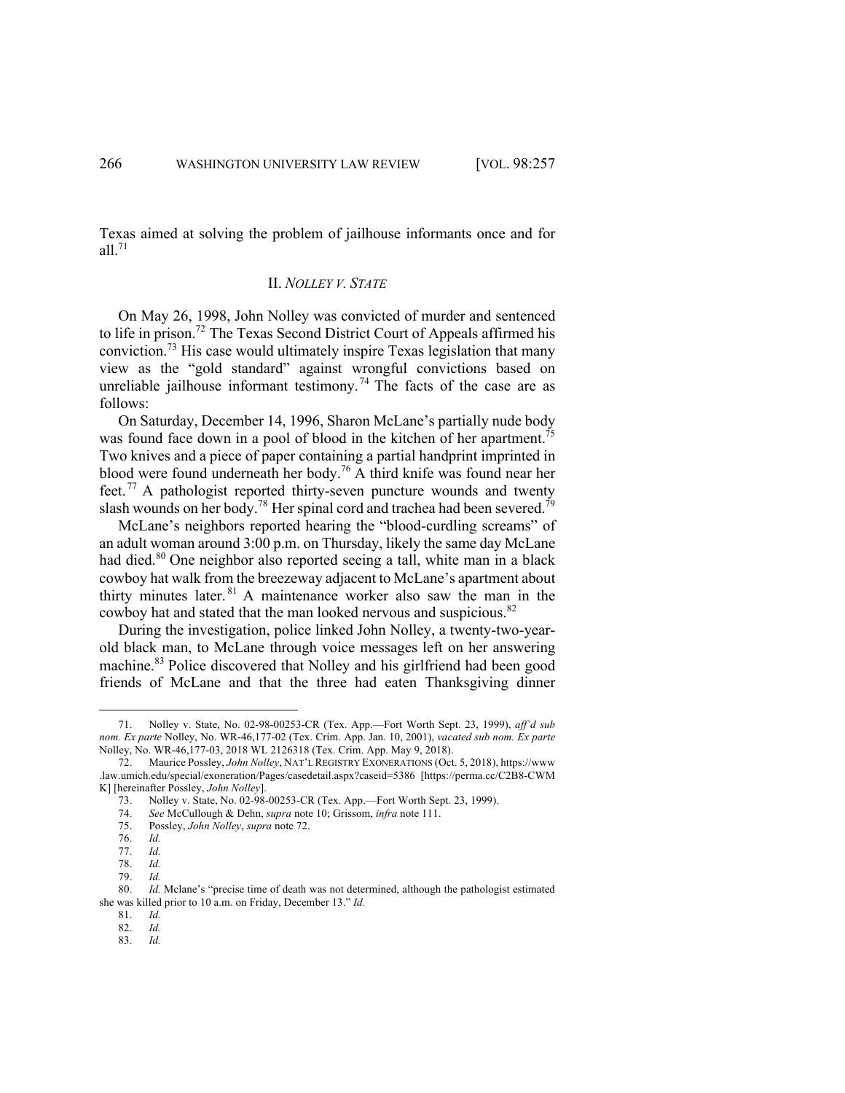Texas aimed at solving the problem of jailhouse informants once and for all. $71$ 

# II. *NOLLEY V. STATE*

On May 26, 1998, John Nolley was convicted of murder and sentenced to life in prison.72 The Texas Second District Court of Appeals affirmed his conviction. <sup>73</sup> His case would ultimately inspire Texas legislation that many view as the "gold standard" against wrongful convictions based on unreliable jailhouse informant testimony.<sup>74</sup> The facts of the case are as follows:

On Saturday, December 14, 1996, Sharon McLane's partially nude body was found face down in a pool of blood in the kitchen of her apartment.<sup>75</sup> Two knives and a piece of paper containing a partial handprint imprinted in blood were found underneath her body.<sup>76</sup> A third knife was found near her feet. <sup>77</sup> A pathologist reported thirty-seven puncture wounds and twenty slash wounds on her body.<sup>78</sup> Her spinal cord and trachea had been severed.<sup>79</sup>

McLane's neighbors reported hearing the "blood-curdling screams" of an adult woman around 3:00 p.m. on Thursday, likely the same day McLane had died. <sup>80</sup> One neighbor also reported seeing a tall, white man in a black cowboy hat walk from the breezeway adjacent to McLane's apartment about thirty minutes later. <sup>81</sup> A maintenance worker also saw the man in the cowboy hat and stated that the man looked nervous and suspicious.<sup>82</sup>

During the investigation, police linked John Nolley, a twenty-two-yearold black man, to McLane through voice messages left on her answering machine.<sup>83</sup> Police discovered that Nolley and his girlfriend had been good friends of McLane and that the three had eaten Thanksgiving dinner

<sup>71.</sup> Nolley v. State, No. 02-98-00253-CR (Tex. App.—Fort Worth Sept. 23, 1999), *aff'd sub nom. Ex parte* Nolley, No. WR-46,177-02 (Tex. Crim. App. Jan. 10, 2001), *vacated sub nom. Ex parte*  Nolley, No. WR-46,177-03, 2018 WL 2126318 (Tex. Crim. App. May 9, 2018).

<sup>72.</sup> Maurice Possley, *John Nolley*, NAT'L REGISTRY EXONERATIONS (Oct. 5, 2018), https://www .law.umich.edu/special/exoneration/Pages/casedetail.aspx?caseid=5386 [https://perma.cc/C2B8-CWM K] [hereinafter Possley, *John Nolley*].

<sup>73.</sup> Nolley v. State, No. 02-98-00253-CR (Tex. App.—Fort Worth Sept. 23, 1999).<br>74. See McCullough & Dehn, *supra* note 10; Grissom, *infra* note 111.

<sup>74.</sup> *See* McCullough & Dehn, *supra* note 10; Grissom, *infra* note 111.

<sup>75.</sup> Possley, *John Nolley*, *supra* note 72.

<sup>76.</sup> *Id.*

<sup>77.</sup> *Id.*

<sup>78.</sup> *Id.*

<sup>79.</sup> *Id.*

<sup>80.</sup> *Id.* Mclane's "precise time of death was not determined, although the pathologist estimated she was killed prior to 10 a.m. on Friday, December 13." *Id.*

<sup>81.</sup> *Id.*

<sup>82.</sup> *Id.*

<sup>83.</sup> *Id.*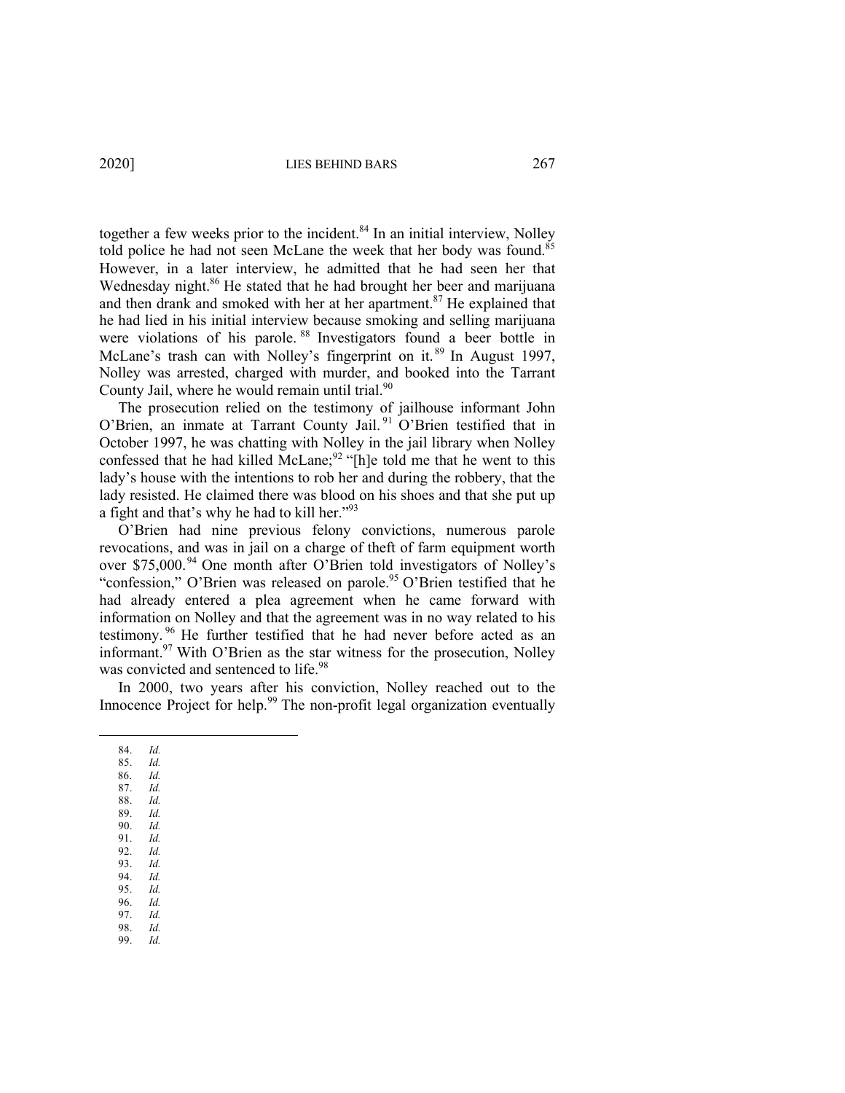together a few weeks prior to the incident.<sup>84</sup> In an initial interview, Nolley told police he had not seen McLane the week that her body was found.<sup>85</sup> However, in a later interview, he admitted that he had seen her that Wednesday night.<sup>86</sup> He stated that he had brought her beer and marijuana and then drank and smoked with her at her apartment.<sup>87</sup> He explained that he had lied in his initial interview because smoking and selling marijuana were violations of his parole. <sup>88</sup> Investigators found a beer bottle in McLane's trash can with Nolley's fingerprint on it.<sup>89</sup> In August 1997, Nolley was arrested, charged with murder, and booked into the Tarrant County Jail, where he would remain until trial.<sup>90</sup>

The prosecution relied on the testimony of jailhouse informant John O'Brien, an inmate at Tarrant County Jail. <sup>91</sup> O'Brien testified that in October 1997, he was chatting with Nolley in the jail library when Nolley confessed that he had killed McLane;<sup>92</sup> "[h]e told me that he went to this lady's house with the intentions to rob her and during the robbery, that the lady resisted. He claimed there was blood on his shoes and that she put up a fight and that's why he had to kill her."93

O'Brien had nine previous felony convictions, numerous parole revocations, and was in jail on a charge of theft of farm equipment worth over \$75,000.<sup>94</sup> One month after O'Brien told investigators of Nolley's "confession," O'Brien was released on parole.<sup>95</sup> O'Brien testified that he had already entered a plea agreement when he came forward with information on Nolley and that the agreement was in no way related to his testimony. <sup>96</sup> He further testified that he had never before acted as an informant.<sup>97</sup> With O'Brien as the star witness for the prosecution, Nolley was convicted and sentenced to life.<sup>98</sup>

In 2000, two years after his conviction, Nolley reached out to the Innocence Project for help.<sup>99</sup> The non-profit legal organization eventually

- 84. *Id.* 85. *Id.*
- 86. *Id.*
- 87. *Id.*
- 88. *Id.* 89. *Id.*
- 90. *Id.*
- 91. *Id.*
- 92. *Id.* 93. *Id.*
- 94. *Id.*
- 95. *Id.*
- 96. *Id.* 97. *Id.*
- 98. *Id.*
- 99. *Id.*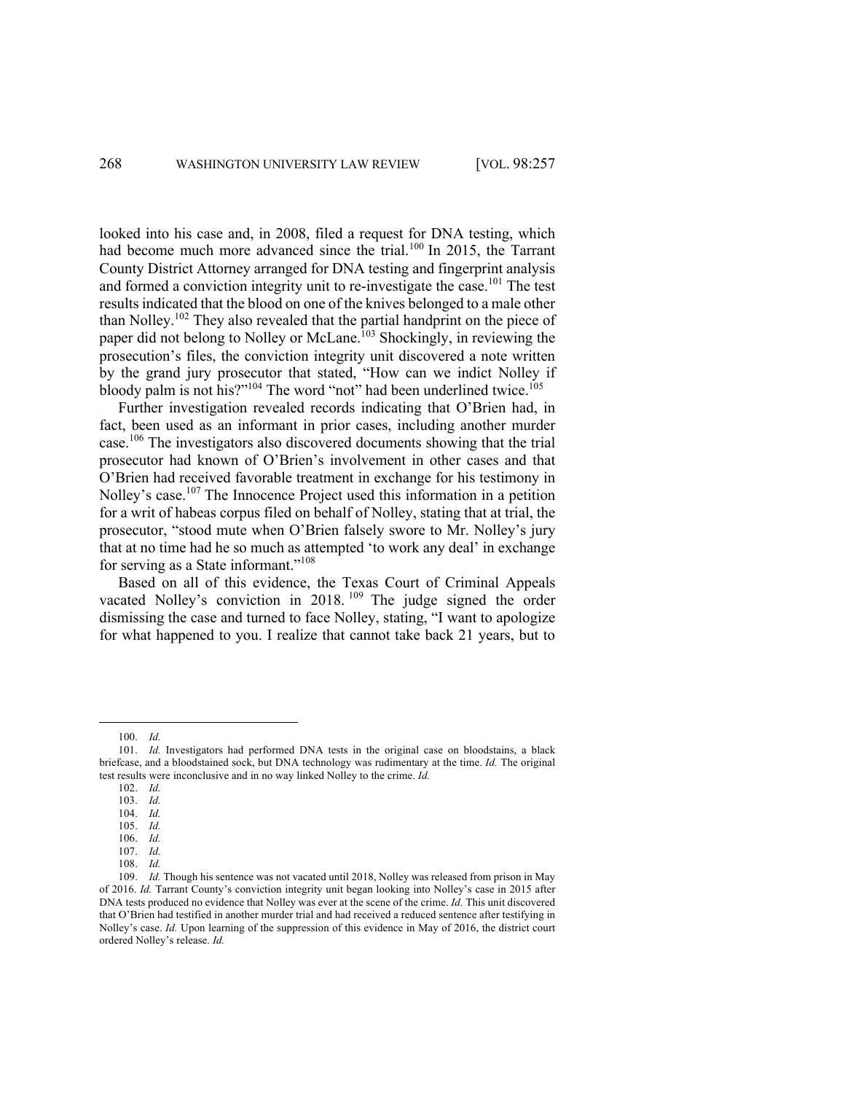looked into his case and, in 2008, filed a request for DNA testing, which had become much more advanced since the trial.<sup>100</sup> In 2015, the Tarrant County District Attorney arranged for DNA testing and fingerprint analysis and formed a conviction integrity unit to re-investigate the case.<sup>101</sup> The test results indicated that the blood on one of the knives belonged to a male other than Nolley.<sup>102</sup> They also revealed that the partial handprint on the piece of paper did not belong to Nolley or McLane.<sup>103</sup> Shockingly, in reviewing the prosecution's files, the conviction integrity unit discovered a note written by the grand jury prosecutor that stated, "How can we indict Nolley if bloody palm is not his?"<sup>104</sup> The word "not" had been underlined twice.<sup>105</sup>

Further investigation revealed records indicating that O'Brien had, in fact, been used as an informant in prior cases, including another murder case.106 The investigators also discovered documents showing that the trial prosecutor had known of O'Brien's involvement in other cases and that O'Brien had received favorable treatment in exchange for his testimony in Nolley's case.<sup>107</sup> The Innocence Project used this information in a petition for a writ of habeas corpus filed on behalf of Nolley, stating that at trial, the prosecutor, "stood mute when O'Brien falsely swore to Mr. Nolley's jury that at no time had he so much as attempted 'to work any deal' in exchange for serving as a State informant."<sup>108</sup>

Based on all of this evidence, the Texas Court of Criminal Appeals vacated Nolley's conviction in 2018.<sup>109</sup> The judge signed the order dismissing the case and turned to face Nolley, stating, "I want to apologize for what happened to you. I realize that cannot take back 21 years, but to

<sup>100.</sup> *Id.*

<sup>101.</sup> *Id.* Investigators had performed DNA tests in the original case on bloodstains, a black briefcase, and a bloodstained sock, but DNA technology was rudimentary at the time. *Id.* The original test results were inconclusive and in no way linked Nolley to the crime. *Id.*

<sup>102.</sup> *Id.*

<sup>103.</sup> *Id.*

<sup>104.</sup> *Id.* 105. *Id.*

<sup>106.</sup> *Id.*

<sup>107.</sup> *Id.*

<sup>108.</sup> *Id.*

<sup>109.</sup> *Id.* Though his sentence was not vacated until 2018, Nolley was released from prison in May of 2016. *Id.* Tarrant County's conviction integrity unit began looking into Nolley's case in 2015 after DNA tests produced no evidence that Nolley was ever at the scene of the crime. *Id.* This unit discovered that O'Brien had testified in another murder trial and had received a reduced sentence after testifying in Nolley's case. *Id.* Upon learning of the suppression of this evidence in May of 2016, the district court ordered Nolley's release. *Id.*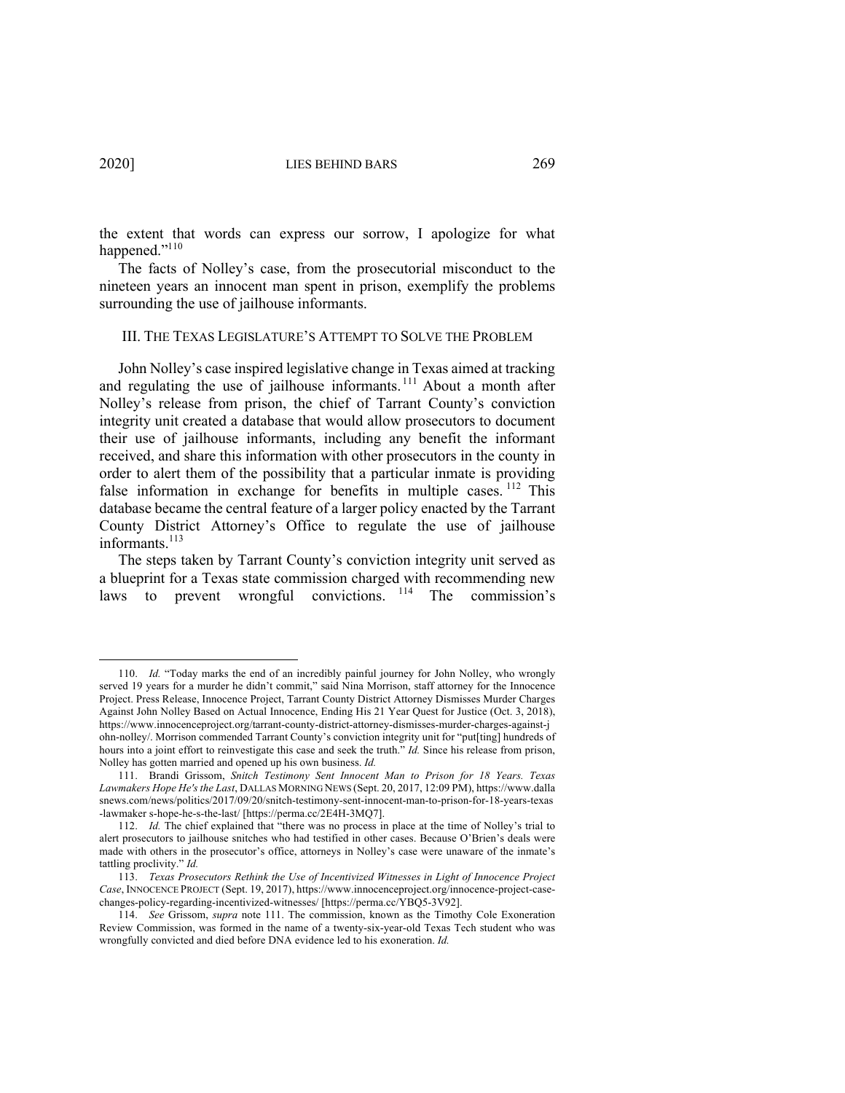the extent that words can express our sorrow, I apologize for what happened."<sup>110</sup>

The facts of Nolley's case, from the prosecutorial misconduct to the nineteen years an innocent man spent in prison, exemplify the problems surrounding the use of jailhouse informants.

#### III. THE TEXAS LEGISLATURE'S ATTEMPT TO SOLVE THE PROBLEM

John Nolley's case inspired legislative change in Texas aimed at tracking and regulating the use of jailhouse informants.<sup>111</sup> About a month after Nolley's release from prison, the chief of Tarrant County's conviction integrity unit created a database that would allow prosecutors to document their use of jailhouse informants, including any benefit the informant received, and share this information with other prosecutors in the county in order to alert them of the possibility that a particular inmate is providing false information in exchange for benefits in multiple cases. <sup>112</sup> This database became the central feature of a larger policy enacted by the Tarrant County District Attorney's Office to regulate the use of jailhouse informants. 113

The steps taken by Tarrant County's conviction integrity unit served as a blueprint for a Texas state commission charged with recommending new laws to prevent wrongful convictions. <sup>114</sup> The commission's

<sup>110.</sup> *Id.* "Today marks the end of an incredibly painful journey for John Nolley, who wrongly served 19 years for a murder he didn't commit," said Nina Morrison, staff attorney for the Innocence Project. Press Release, Innocence Project, Tarrant County District Attorney Dismisses Murder Charges Against John Nolley Based on Actual Innocence, Ending His 21 Year Quest for Justice (Oct. 3, 2018), https://www.innocenceproject.org/tarrant-county-district-attorney-dismisses-murder-charges-against-j ohn-nolley/. Morrison commended Tarrant County's conviction integrity unit for "put[ting] hundreds of hours into a joint effort to reinvestigate this case and seek the truth." *Id.* Since his release from prison, Nolley has gotten married and opened up his own business. *Id.*

<sup>111.</sup> Brandi Grissom, *Snitch Testimony Sent Innocent Man to Prison for 18 Years. Texas Lawmakers Hope He's the Last*, DALLAS MORNING NEWS (Sept. 20, 2017, 12:09 PM), https://www.dalla snews.com/news/politics/2017/09/20/snitch-testimony-sent-innocent-man-to-prison-for-18-years-texas -lawmaker s-hope-he-s-the-last/ [https://perma.cc/2E4H-3MQ7].

<sup>112.</sup> *Id.* The chief explained that "there was no process in place at the time of Nolley's trial to alert prosecutors to jailhouse snitches who had testified in other cases. Because O'Brien's deals were made with others in the prosecutor's office, attorneys in Nolley's case were unaware of the inmate's tattling proclivity." *Id.*

<sup>113.</sup> *Texas Prosecutors Rethink the Use of Incentivized Witnesses in Light of Innocence Project Case*, INNOCENCE PROJECT (Sept. 19, 2017), https://www.innocenceproject.org/innocence-project-casechanges-policy-regarding-incentivized-witnesses/ [https://perma.cc/YBQ5-3V92].

<sup>114.</sup> *See* Grissom, *supra* note 111. The commission, known as the Timothy Cole Exoneration Review Commission, was formed in the name of a twenty-six-year-old Texas Tech student who was wrongfully convicted and died before DNA evidence led to his exoneration. *Id.*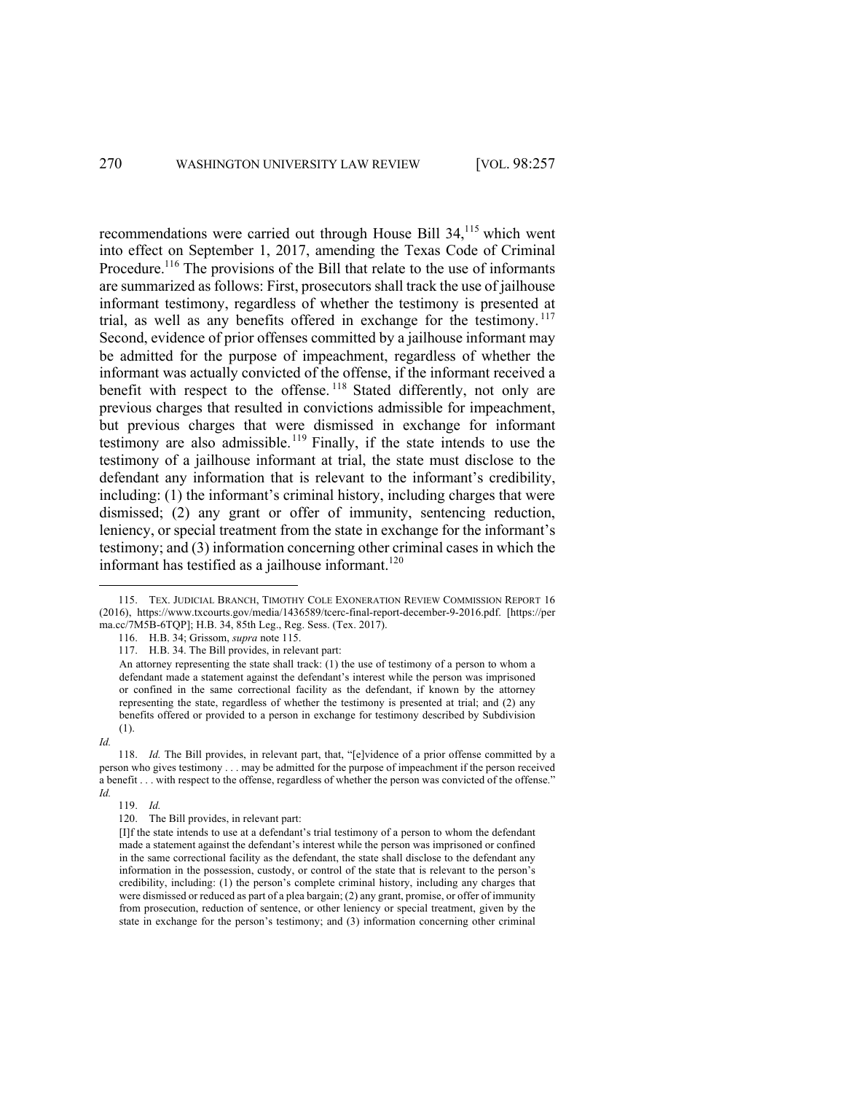recommendations were carried out through House Bill 34,<sup>115</sup> which went into effect on September 1, 2017, amending the Texas Code of Criminal Procedure.<sup>116</sup> The provisions of the Bill that relate to the use of informants are summarized as follows: First, prosecutors shall track the use of jailhouse informant testimony, regardless of whether the testimony is presented at trial, as well as any benefits offered in exchange for the testimony. <sup>117</sup> Second, evidence of prior offenses committed by a jailhouse informant may be admitted for the purpose of impeachment, regardless of whether the informant was actually convicted of the offense, if the informant received a benefit with respect to the offense.<sup>118</sup> Stated differently, not only are previous charges that resulted in convictions admissible for impeachment, but previous charges that were dismissed in exchange for informant testimony are also admissible.<sup>119</sup> Finally, if the state intends to use the testimony of a jailhouse informant at trial, the state must disclose to the defendant any information that is relevant to the informant's credibility, including: (1) the informant's criminal history, including charges that were dismissed; (2) any grant or offer of immunity, sentencing reduction, leniency, or special treatment from the state in exchange for the informant's testimony; and (3) information concerning other criminal cases in which the informant has testified as a jailhouse informant.<sup>120</sup>

116. H.B. 34; Grissom, *supra* note 115.

*Id.*

119. *Id.*

<sup>115.</sup> TEX. JUDICIAL BRANCH, TIMOTHY COLE EXONERATION REVIEW COMMISSION REPORT 16 (2016), https://www.txcourts.gov/media/1436589/tcerc-final-report-december-9-2016.pdf. [https://per ma.cc/7M5B-6TQP]; H.B. 34, 85th Leg., Reg. Sess. (Tex. 2017).

<sup>117.</sup> H.B. 34. The Bill provides, in relevant part:

An attorney representing the state shall track: (1) the use of testimony of a person to whom a defendant made a statement against the defendant's interest while the person was imprisoned or confined in the same correctional facility as the defendant, if known by the attorney representing the state, regardless of whether the testimony is presented at trial; and (2) any benefits offered or provided to a person in exchange for testimony described by Subdivision (1).

<sup>118.</sup> *Id.* The Bill provides, in relevant part, that, "[e]vidence of a prior offense committed by a person who gives testimony . . . may be admitted for the purpose of impeachment if the person received a benefit . . . with respect to the offense, regardless of whether the person was convicted of the offense." *Id.*

<sup>120.</sup> The Bill provides, in relevant part:

<sup>[</sup>I]f the state intends to use at a defendant's trial testimony of a person to whom the defendant made a statement against the defendant's interest while the person was imprisoned or confined in the same correctional facility as the defendant, the state shall disclose to the defendant any information in the possession, custody, or control of the state that is relevant to the person's credibility, including: (1) the person's complete criminal history, including any charges that were dismissed or reduced as part of a plea bargain; (2) any grant, promise, or offer of immunity from prosecution, reduction of sentence, or other leniency or special treatment, given by the state in exchange for the person's testimony; and (3) information concerning other criminal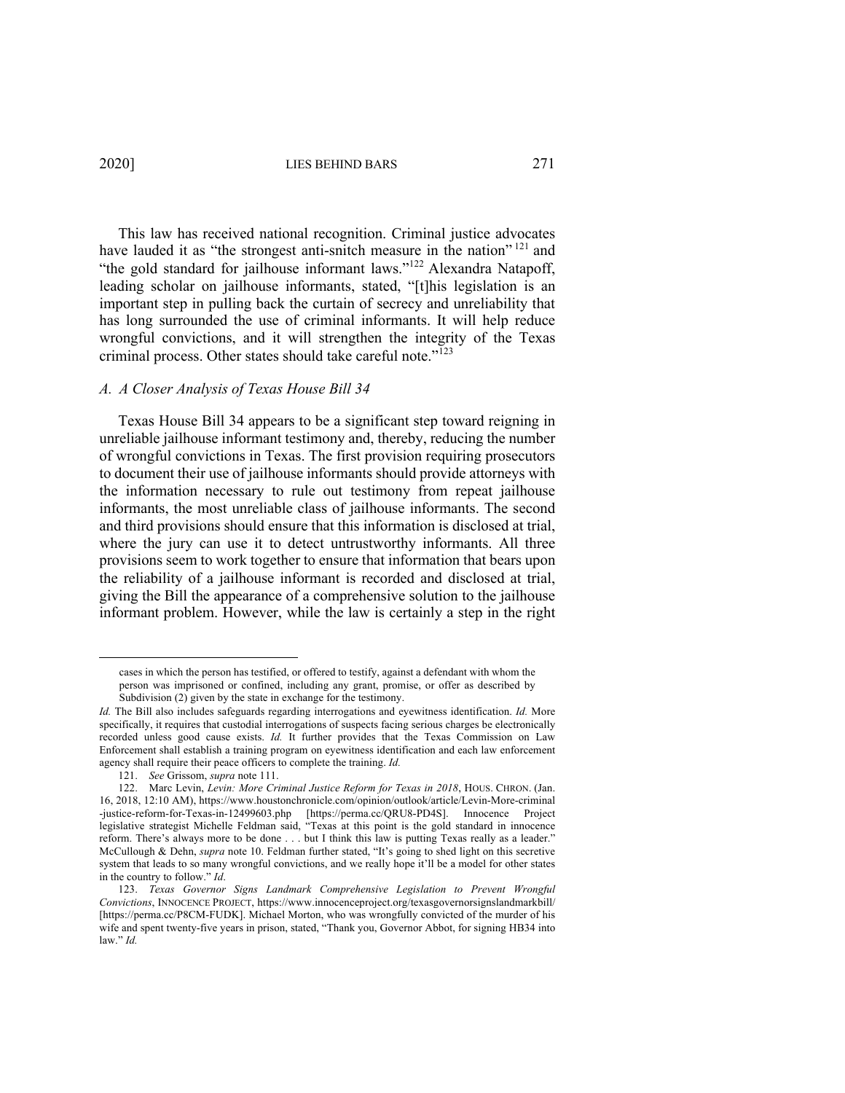This law has received national recognition. Criminal justice advocates have lauded it as "the strongest anti-snitch measure in the nation"<sup>121</sup> and "the gold standard for jailhouse informant laws."<sup>122</sup> Alexandra Natapoff, leading scholar on jailhouse informants, stated, "[t]his legislation is an important step in pulling back the curtain of secrecy and unreliability that has long surrounded the use of criminal informants. It will help reduce wrongful convictions, and it will strengthen the integrity of the Texas criminal process. Other states should take careful note."<sup>123</sup>

## *A. A Closer Analysis of Texas House Bill 34*

Texas House Bill 34 appears to be a significant step toward reigning in unreliable jailhouse informant testimony and, thereby, reducing the number of wrongful convictions in Texas. The first provision requiring prosecutors to document their use of jailhouse informants should provide attorneys with the information necessary to rule out testimony from repeat jailhouse informants, the most unreliable class of jailhouse informants. The second and third provisions should ensure that this information is disclosed at trial, where the jury can use it to detect untrustworthy informants. All three provisions seem to work together to ensure that information that bears upon the reliability of a jailhouse informant is recorded and disclosed at trial, giving the Bill the appearance of a comprehensive solution to the jailhouse informant problem. However, while the law is certainly a step in the right

cases in which the person has testified, or offered to testify, against a defendant with whom the person was imprisoned or confined, including any grant, promise, or offer as described by Subdivision (2) given by the state in exchange for the testimony.

*Id.* The Bill also includes safeguards regarding interrogations and eyewitness identification. *Id.* More specifically, it requires that custodial interrogations of suspects facing serious charges be electronically recorded unless good cause exists. *Id.* It further provides that the Texas Commission on Law Enforcement shall establish a training program on eyewitness identification and each law enforcement agency shall require their peace officers to complete the training. *Id.*

<sup>121.</sup> *See* Grissom, *supra* note 111.

<sup>122.</sup> Marc Levin, *Levin: More Criminal Justice Reform for Texas in 2018*, HOUS. CHRON. (Jan. 16, 2018, 12:10 AM), https://www.houstonchronicle.com/opinion/outlook/article/Levin-More-criminal -justice-reform-for-Texas-in-12499603.php [https://perma.cc/QRU8-PD4S]. Innocence Project legislative strategist Michelle Feldman said, "Texas at this point is the gold standard in innocence reform. There's always more to be done . . . but I think this law is putting Texas really as a leader." McCullough & Dehn, *supra* note 10. Feldman further stated, "It's going to shed light on this secretive system that leads to so many wrongful convictions, and we really hope it'll be a model for other states in the country to follow." *Id*.

<sup>123.</sup> *Texas Governor Signs Landmark Comprehensive Legislation to Prevent Wrongful Convictions*, INNOCENCE PROJECT, https://www.innocenceproject.org/texasgovernorsignslandmarkbill/ [https://perma.cc/P8CM-FUDK]. Michael Morton, who was wrongfully convicted of the murder of his wife and spent twenty-five years in prison, stated, "Thank you, Governor Abbot, for signing HB34 into law." *Id.*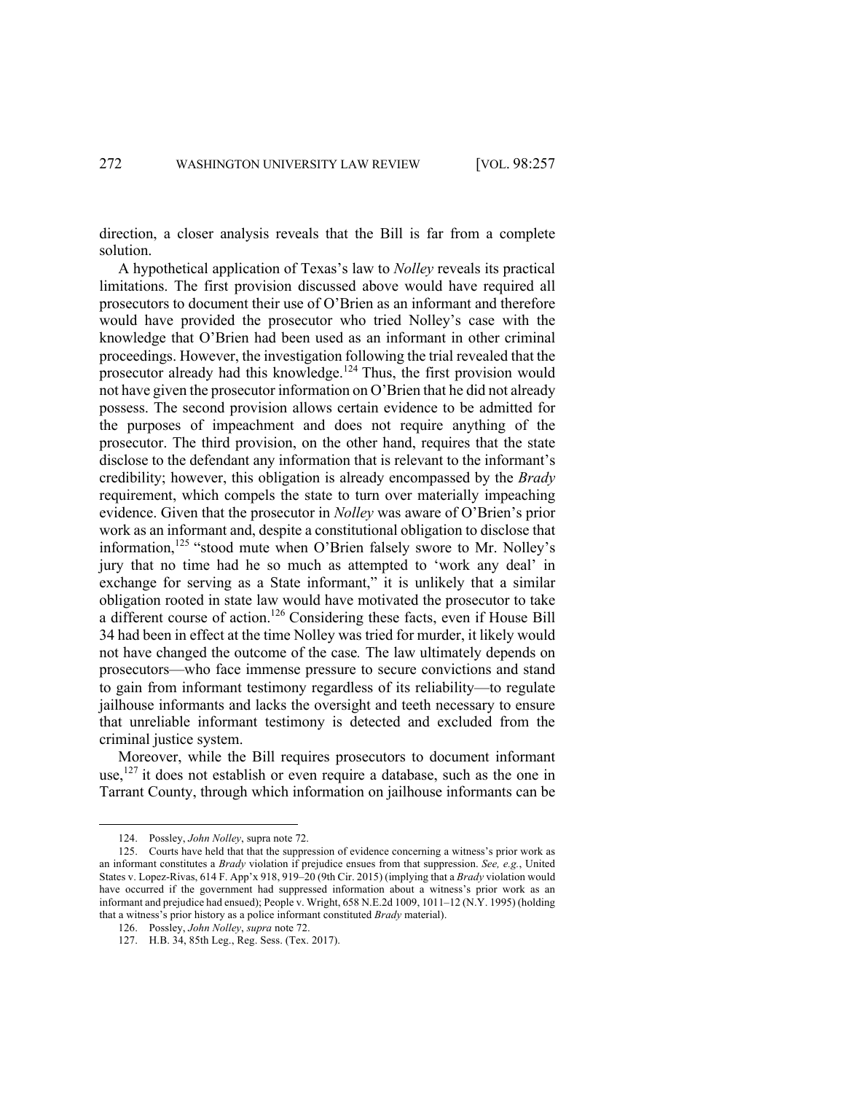direction, a closer analysis reveals that the Bill is far from a complete solution.

A hypothetical application of Texas's law to *Nolley* reveals its practical limitations. The first provision discussed above would have required all prosecutors to document their use of O'Brien as an informant and therefore would have provided the prosecutor who tried Nolley's case with the knowledge that O'Brien had been used as an informant in other criminal proceedings. However, the investigation following the trial revealed that the prosecutor already had this knowledge.<sup>124</sup> Thus, the first provision would not have given the prosecutor information on O'Brien that he did not already possess. The second provision allows certain evidence to be admitted for the purposes of impeachment and does not require anything of the prosecutor. The third provision, on the other hand, requires that the state disclose to the defendant any information that is relevant to the informant's credibility; however, this obligation is already encompassed by the *Brady* requirement, which compels the state to turn over materially impeaching evidence. Given that the prosecutor in *Nolley* was aware of O'Brien's prior work as an informant and, despite a constitutional obligation to disclose that information,<sup>125</sup> "stood mute when O'Brien falsely swore to Mr. Nolley's jury that no time had he so much as attempted to 'work any deal' in exchange for serving as a State informant," it is unlikely that a similar obligation rooted in state law would have motivated the prosecutor to take a different course of action.126 Considering these facts, even if House Bill 34 had been in effect at the time Nolley was tried for murder, it likely would not have changed the outcome of the case*.* The law ultimately depends on prosecutors—who face immense pressure to secure convictions and stand to gain from informant testimony regardless of its reliability—to regulate jailhouse informants and lacks the oversight and teeth necessary to ensure that unreliable informant testimony is detected and excluded from the criminal justice system.

Moreover, while the Bill requires prosecutors to document informant use,<sup>127</sup> it does not establish or even require a database, such as the one in Tarrant County, through which information on jailhouse informants can be

<sup>124.</sup> Possley, *John Nolley*, supra note 72.

<sup>125.</sup> Courts have held that that the suppression of evidence concerning a witness's prior work as an informant constitutes a *Brady* violation if prejudice ensues from that suppression. *See, e.g.*, United States v. Lopez-Rivas, 614 F. App'x 918, 919–20 (9th Cir. 2015) (implying that a *Brady* violation would have occurred if the government had suppressed information about a witness's prior work as an informant and prejudice had ensued); People v. Wright, 658 N.E.2d 1009, 1011–12 (N.Y. 1995) (holding that a witness's prior history as a police informant constituted *Brady* material).

<sup>126.</sup> Possley, *John Nolley*, *supra* note 72.

<sup>127.</sup> H.B. 34, 85th Leg., Reg. Sess. (Tex. 2017).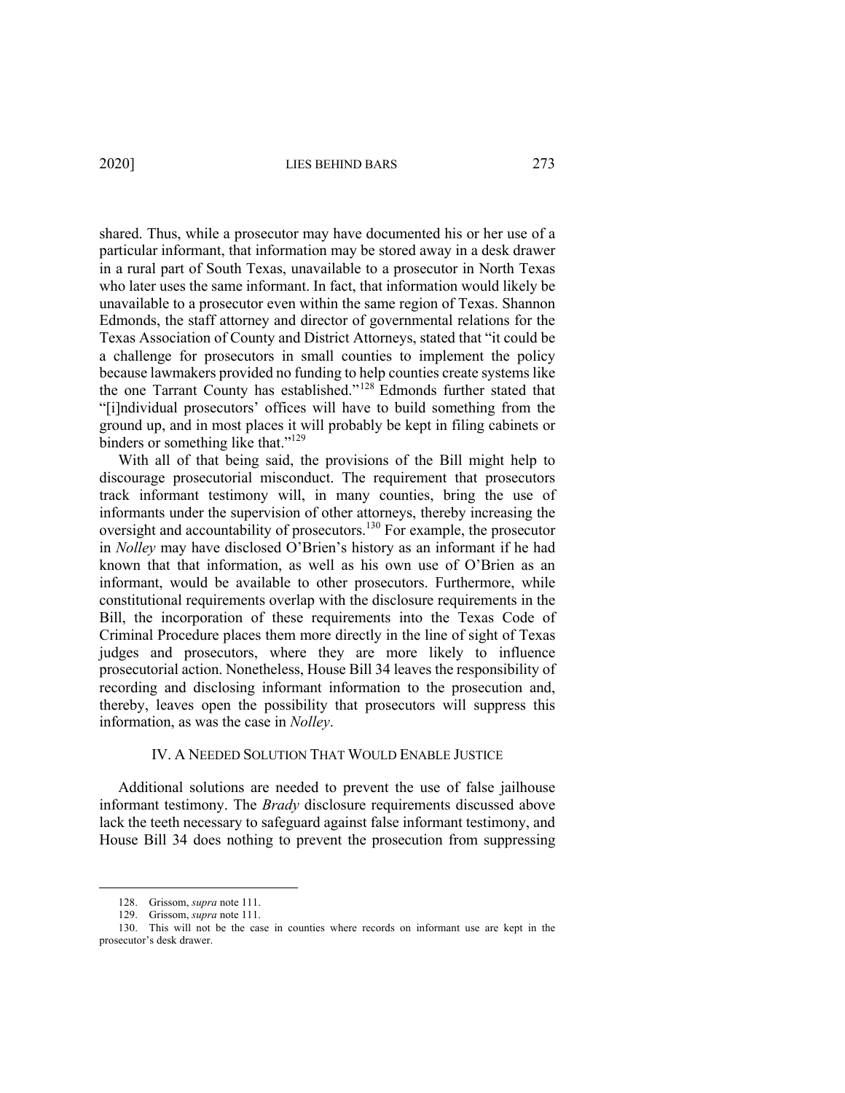shared. Thus, while a prosecutor may have documented his or her use of a particular informant, that information may be stored away in a desk drawer in a rural part of South Texas, unavailable to a prosecutor in North Texas who later uses the same informant. In fact, that information would likely be unavailable to a prosecutor even within the same region of Texas. Shannon Edmonds, the staff attorney and director of governmental relations for the Texas Association of County and District Attorneys, stated that "it could be a challenge for prosecutors in small counties to implement the policy because lawmakers provided no funding to help counties create systems like the one Tarrant County has established."<sup>128</sup> Edmonds further stated that "[i]ndividual prosecutors' offices will have to build something from the ground up, and in most places it will probably be kept in filing cabinets or binders or something like that."<sup>129</sup>

With all of that being said, the provisions of the Bill might help to discourage prosecutorial misconduct. The requirement that prosecutors track informant testimony will, in many counties, bring the use of informants under the supervision of other attorneys, thereby increasing the oversight and accountability of prosecutors.<sup>130</sup> For example, the prosecutor in *Nolley* may have disclosed O'Brien's history as an informant if he had known that that information, as well as his own use of O'Brien as an informant, would be available to other prosecutors. Furthermore, while constitutional requirements overlap with the disclosure requirements in the Bill, the incorporation of these requirements into the Texas Code of Criminal Procedure places them more directly in the line of sight of Texas judges and prosecutors, where they are more likely to influence prosecutorial action. Nonetheless, House Bill 34 leaves the responsibility of recording and disclosing informant information to the prosecution and, thereby, leaves open the possibility that prosecutors will suppress this information, as was the case in *Nolley*.

# IV. A NEEDED SOLUTION THAT WOULD ENABLE JUSTICE

Additional solutions are needed to prevent the use of false jailhouse informant testimony. The *Brady* disclosure requirements discussed above lack the teeth necessary to safeguard against false informant testimony, and House Bill 34 does nothing to prevent the prosecution from suppressing

<sup>128.</sup> Grissom, *supra* note 111.

<sup>129.</sup> Grissom, *supra* note 111.

<sup>130.</sup> This will not be the case in counties where records on informant use are kept in the prosecutor's desk drawer.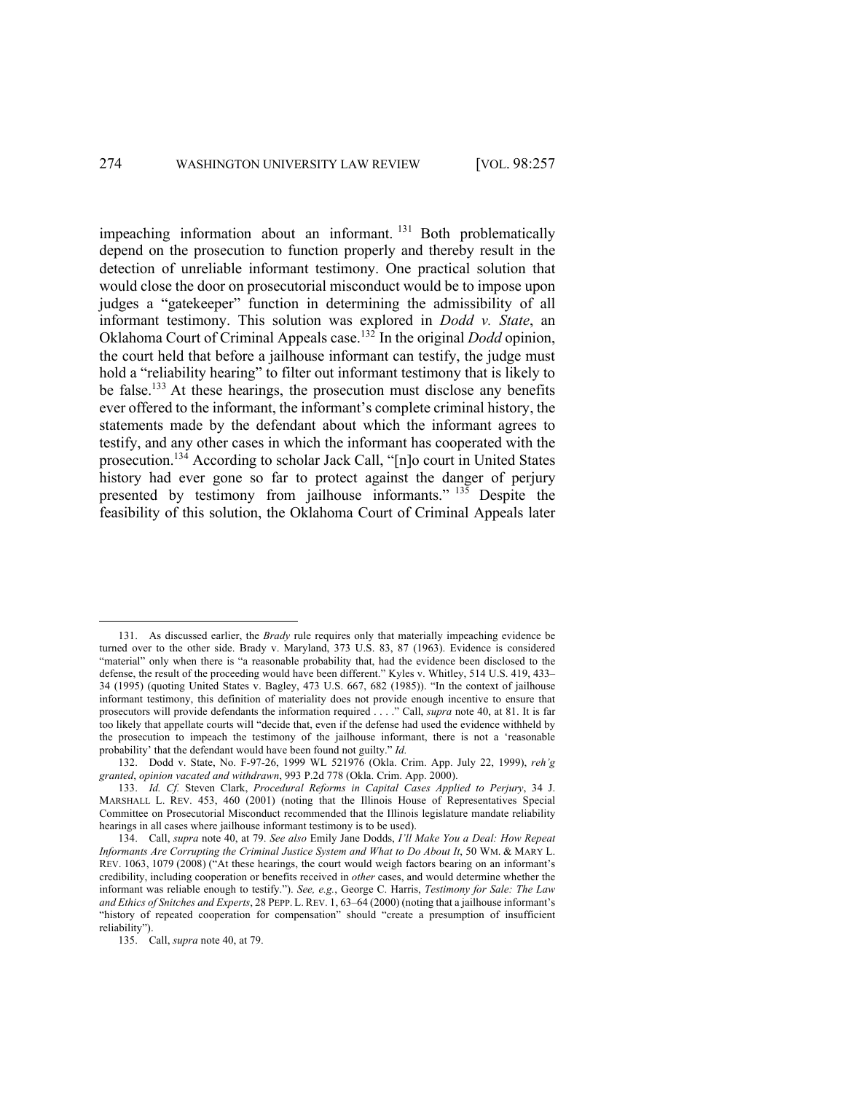impeaching information about an informant. <sup>131</sup> Both problematically depend on the prosecution to function properly and thereby result in the detection of unreliable informant testimony. One practical solution that would close the door on prosecutorial misconduct would be to impose upon judges a "gatekeeper" function in determining the admissibility of all informant testimony. This solution was explored in *Dodd v. State*, an Oklahoma Court of Criminal Appeals case.132 In the original *Dodd* opinion, the court held that before a jailhouse informant can testify, the judge must hold a "reliability hearing" to filter out informant testimony that is likely to be false.<sup>133</sup> At these hearings, the prosecution must disclose any benefits ever offered to the informant, the informant's complete criminal history, the statements made by the defendant about which the informant agrees to testify, and any other cases in which the informant has cooperated with the prosecution.<sup>134</sup> According to scholar Jack Call, "[n]o court in United States history had ever gone so far to protect against the danger of perjury presented by testimony from jailhouse informants." <sup>135</sup> Despite the feasibility of this solution, the Oklahoma Court of Criminal Appeals later

<sup>131.</sup> As discussed earlier, the *Brady* rule requires only that materially impeaching evidence be turned over to the other side. Brady v. Maryland, 373 U.S. 83, 87 (1963). Evidence is considered "material" only when there is "a reasonable probability that, had the evidence been disclosed to the defense, the result of the proceeding would have been different." Kyles v. Whitley, 514 U.S. 419, 433– 34 (1995) (quoting United States v. Bagley, 473 U.S. 667, 682 (1985)). "In the context of jailhouse informant testimony, this definition of materiality does not provide enough incentive to ensure that prosecutors will provide defendants the information required . . . ." Call, *supra* note 40, at 81. It is far too likely that appellate courts will "decide that, even if the defense had used the evidence withheld by the prosecution to impeach the testimony of the jailhouse informant, there is not a 'reasonable probability' that the defendant would have been found not guilty." *Id.*

<sup>132.</sup> Dodd v. State, No. F-97-26, 1999 WL 521976 (Okla. Crim. App. July 22, 1999), *reh'g granted*, *opinion vacated and withdrawn*, 993 P.2d 778 (Okla. Crim. App. 2000).

<sup>133.</sup> *Id. Cf.* Steven Clark, *Procedural Reforms in Capital Cases Applied to Perjury*, 34 J. MARSHALL L. REV. 453, 460 (2001) (noting that the Illinois House of Representatives Special Committee on Prosecutorial Misconduct recommended that the Illinois legislature mandate reliability hearings in all cases where jailhouse informant testimony is to be used).

<sup>134.</sup> Call, *supra* note 40, at 79. *See also* Emily Jane Dodds, *I'll Make You a Deal: How Repeat Informants Are Corrupting the Criminal Justice System and What to Do About It*, 50 WM. & MARY L. REV. 1063, 1079 (2008) ("At these hearings, the court would weigh factors bearing on an informant's credibility, including cooperation or benefits received in *other* cases, and would determine whether the informant was reliable enough to testify."). *See, e.g.*, George C. Harris, *Testimony for Sale: The Law and Ethics of Snitches and Experts*, 28 PEPP. L.REV. 1, 63–64 (2000) (noting that a jailhouse informant's "history of repeated cooperation for compensation" should "create a presumption of insufficient reliability").

<sup>135.</sup> Call, *supra* note 40, at 79.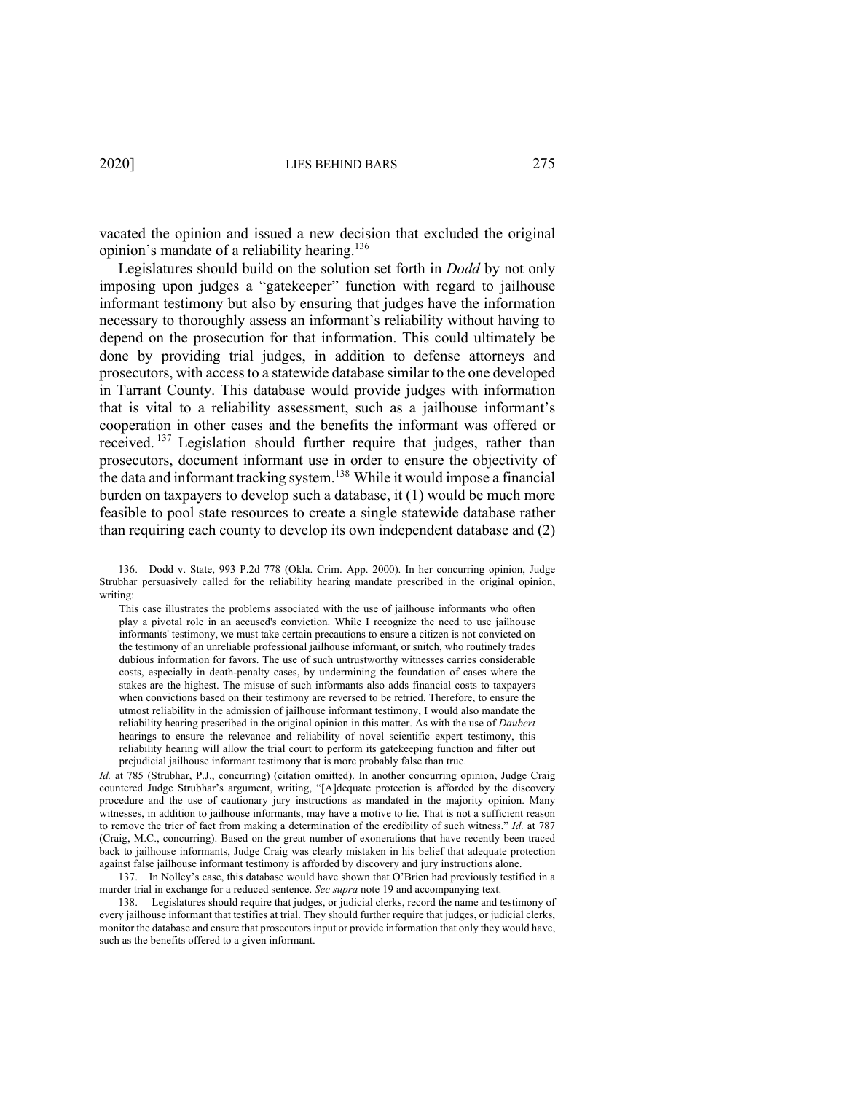vacated the opinion and issued a new decision that excluded the original opinion's mandate of a reliability hearing.136

Legislatures should build on the solution set forth in *Dodd* by not only imposing upon judges a "gatekeeper" function with regard to jailhouse informant testimony but also by ensuring that judges have the information necessary to thoroughly assess an informant's reliability without having to depend on the prosecution for that information. This could ultimately be done by providing trial judges, in addition to defense attorneys and prosecutors, with access to a statewide database similar to the one developed in Tarrant County. This database would provide judges with information that is vital to a reliability assessment, such as a jailhouse informant's cooperation in other cases and the benefits the informant was offered or received.<sup>137</sup> Legislation should further require that judges, rather than prosecutors, document informant use in order to ensure the objectivity of the data and informant tracking system.<sup>138</sup> While it would impose a financial burden on taxpayers to develop such a database, it (1) would be much more feasible to pool state resources to create a single statewide database rather than requiring each county to develop its own independent database and (2)

<sup>136.</sup> Dodd v. State, 993 P.2d 778 (Okla. Crim. App. 2000). In her concurring opinion, Judge Strubhar persuasively called for the reliability hearing mandate prescribed in the original opinion, writing:

This case illustrates the problems associated with the use of jailhouse informants who often play a pivotal role in an accused's conviction. While I recognize the need to use jailhouse informants' testimony, we must take certain precautions to ensure a citizen is not convicted on the testimony of an unreliable professional jailhouse informant, or snitch, who routinely trades dubious information for favors. The use of such untrustworthy witnesses carries considerable costs, especially in death-penalty cases, by undermining the foundation of cases where the stakes are the highest. The misuse of such informants also adds financial costs to taxpayers when convictions based on their testimony are reversed to be retried. Therefore, to ensure the utmost reliability in the admission of jailhouse informant testimony, I would also mandate the reliability hearing prescribed in the original opinion in this matter. As with the use of *Daubert*  hearings to ensure the relevance and reliability of novel scientific expert testimony, this reliability hearing will allow the trial court to perform its gatekeeping function and filter out prejudicial jailhouse informant testimony that is more probably false than true.

*Id.* at 785 (Strubhar, P.J., concurring) (citation omitted). In another concurring opinion, Judge Craig countered Judge Strubhar's argument, writing, "[A]dequate protection is afforded by the discovery procedure and the use of cautionary jury instructions as mandated in the majority opinion. Many witnesses, in addition to jailhouse informants, may have a motive to lie. That is not a sufficient reason to remove the trier of fact from making a determination of the credibility of such witness." *Id.* at 787 (Craig, M.C., concurring). Based on the great number of exonerations that have recently been traced back to jailhouse informants, Judge Craig was clearly mistaken in his belief that adequate protection against false jailhouse informant testimony is afforded by discovery and jury instructions alone.

<sup>137.</sup> In Nolley's case, this database would have shown that O'Brien had previously testified in a murder trial in exchange for a reduced sentence. *See supra* note 19 and accompanying text.

<sup>138.</sup> Legislatures should require that judges, or judicial clerks, record the name and testimony of every jailhouse informant that testifies at trial. They should further require that judges, or judicial clerks, monitor the database and ensure that prosecutors input or provide information that only they would have, such as the benefits offered to a given informant.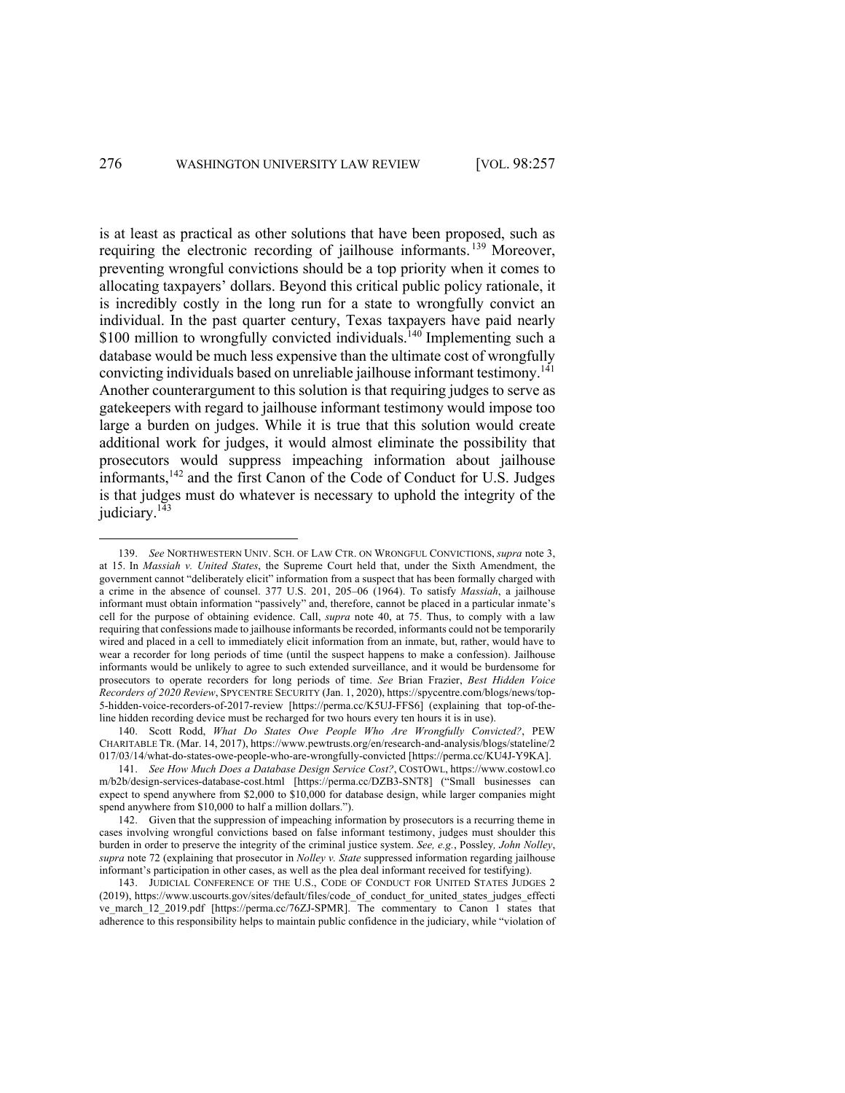is at least as practical as other solutions that have been proposed, such as requiring the electronic recording of jailhouse informants.<sup>139</sup> Moreover, preventing wrongful convictions should be a top priority when it comes to allocating taxpayers' dollars. Beyond this critical public policy rationale, it is incredibly costly in the long run for a state to wrongfully convict an individual. In the past quarter century, Texas taxpayers have paid nearly \$100 million to wrongfully convicted individuals.<sup>140</sup> Implementing such a database would be much less expensive than the ultimate cost of wrongfully convicting individuals based on unreliable jailhouse informant testimony.<sup>141</sup> Another counterargument to this solution is that requiring judges to serve as gatekeepers with regard to jailhouse informant testimony would impose too large a burden on judges. While it is true that this solution would create additional work for judges, it would almost eliminate the possibility that prosecutors would suppress impeaching information about jailhouse informants,142 and the first Canon of the Code of Conduct for U.S. Judges is that judges must do whatever is necessary to uphold the integrity of the judiciary.<sup>143</sup>

<sup>139.</sup> *See* NORTHWESTERN UNIV. SCH. OF LAW CTR. ON WRONGFUL CONVICTIONS, *supra* note 3, at 15. In *Massiah v. United States*, the Supreme Court held that, under the Sixth Amendment, the government cannot "deliberately elicit" information from a suspect that has been formally charged with a crime in the absence of counsel. 377 U.S. 201, 205–06 (1964). To satisfy *Massiah*, a jailhouse informant must obtain information "passively" and, therefore, cannot be placed in a particular inmate's cell for the purpose of obtaining evidence. Call, *supra* note 40, at 75. Thus, to comply with a law requiring that confessions made to jailhouse informants be recorded, informants could not be temporarily wired and placed in a cell to immediately elicit information from an inmate, but, rather, would have to wear a recorder for long periods of time (until the suspect happens to make a confession). Jailhouse informants would be unlikely to agree to such extended surveillance, and it would be burdensome for prosecutors to operate recorders for long periods of time. *See* Brian Frazier, *Best Hidden Voice Recorders of 2020 Review*, SPYCENTRE SECURITY (Jan. 1, 2020), https://spycentre.com/blogs/news/top-5-hidden-voice-recorders-of-2017-review [https://perma.cc/K5UJ-FFS6] (explaining that top-of-theline hidden recording device must be recharged for two hours every ten hours it is in use).

<sup>140.</sup> Scott Rodd, *What Do States Owe People Who Are Wrongfully Convicted?*, PEW CHARITABLE TR. (Mar. 14, 2017), https://www.pewtrusts.org/en/research-and-analysis/blogs/stateline/2 017/03/14/what-do-states-owe-people-who-are-wrongfully-convicted [https://perma.cc/KU4J-Y9KA].

<sup>141.</sup> *See How Much Does a Database Design Service Cost?*, COSTOWL, https://www.costowl.co m/b2b/design-services-database-cost.html [https://perma.cc/DZB3-SNT8] ("Small businesses can expect to spend anywhere from \$2,000 to \$10,000 for database design, while larger companies might spend anywhere from \$10,000 to half a million dollars.").

<sup>142.</sup> Given that the suppression of impeaching information by prosecutors is a recurring theme in cases involving wrongful convictions based on false informant testimony, judges must shoulder this burden in order to preserve the integrity of the criminal justice system. *See, e.g.*, Possley*, John Nolley*, *supra* note 72 (explaining that prosecutor in *Nolley v. State* suppressed information regarding jailhouse informant's participation in other cases, as well as the plea deal informant received for testifying).

<sup>143.</sup> JUDICIAL CONFERENCE OF THE U.S., CODE OF CONDUCT FOR UNITED STATES JUDGES 2 (2019), https://www.uscourts.gov/sites/default/files/code\_of\_conduct\_for\_united\_states\_judges\_effecti ve\_march\_12\_2019.pdf [https://perma.cc/76ZJ-SPMR]. The commentary to Canon 1 states that adherence to this responsibility helps to maintain public confidence in the judiciary, while "violation of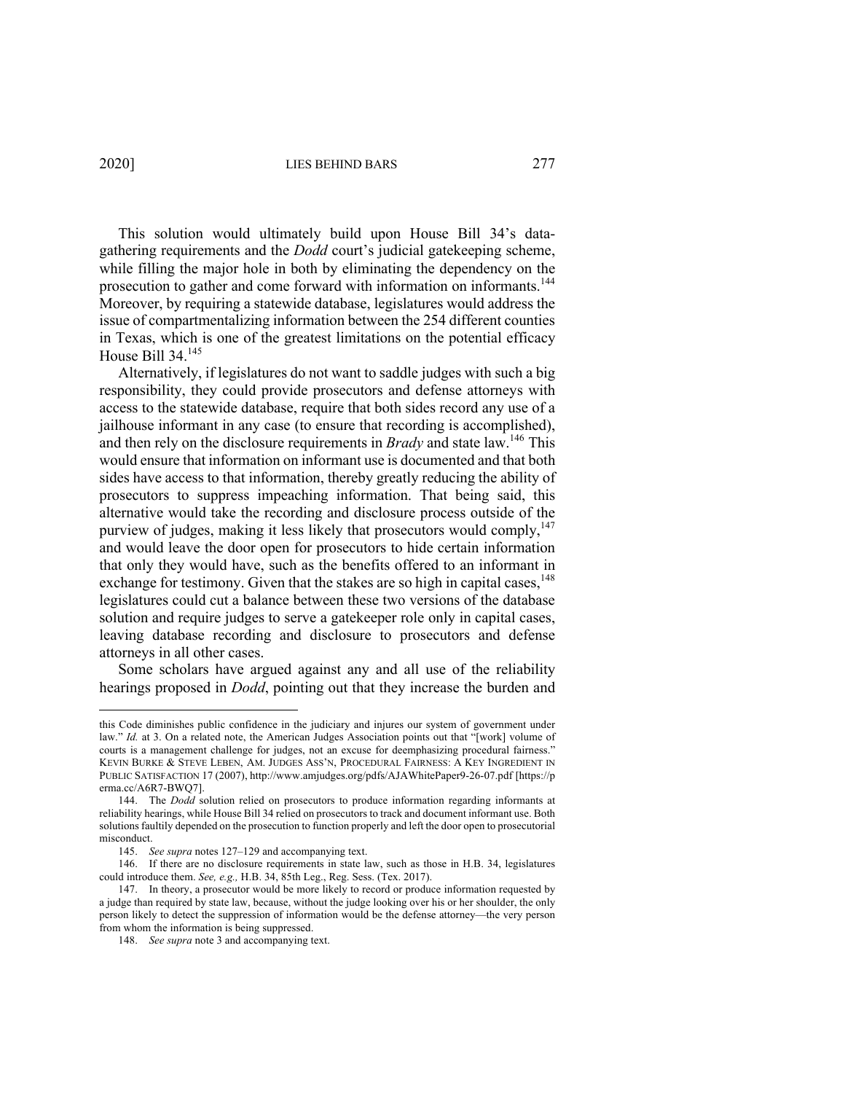This solution would ultimately build upon House Bill 34's datagathering requirements and the *Dodd* court's judicial gatekeeping scheme, while filling the major hole in both by eliminating the dependency on the prosecution to gather and come forward with information on informants.<sup>144</sup> Moreover, by requiring a statewide database, legislatures would address the issue of compartmentalizing information between the 254 different counties in Texas, which is one of the greatest limitations on the potential efficacy House Bill 34.145

Alternatively, if legislatures do not want to saddle judges with such a big responsibility, they could provide prosecutors and defense attorneys with access to the statewide database, require that both sides record any use of a jailhouse informant in any case (to ensure that recording is accomplished), and then rely on the disclosure requirements in *Brady* and state law.146 This would ensure that information on informant use is documented and that both sides have access to that information, thereby greatly reducing the ability of prosecutors to suppress impeaching information. That being said, this alternative would take the recording and disclosure process outside of the purview of judges, making it less likely that prosecutors would comply,  $147$ and would leave the door open for prosecutors to hide certain information that only they would have, such as the benefits offered to an informant in exchange for testimony. Given that the stakes are so high in capital cases, <sup>148</sup> legislatures could cut a balance between these two versions of the database solution and require judges to serve a gatekeeper role only in capital cases, leaving database recording and disclosure to prosecutors and defense attorneys in all other cases.

Some scholars have argued against any and all use of the reliability hearings proposed in *Dodd*, pointing out that they increase the burden and

this Code diminishes public confidence in the judiciary and injures our system of government under law." *Id.* at 3. On a related note, the American Judges Association points out that "[work] volume of courts is a management challenge for judges, not an excuse for deemphasizing procedural fairness." KEVIN BURKE & STEVE LEBEN, AM. JUDGES ASS'N, PROCEDURAL FAIRNESS: A KEY INGREDIENT IN PUBLIC SATISFACTION 17 (2007), http://www.amjudges.org/pdfs/AJAWhitePaper9-26-07.pdf [https://p erma.cc/A6R7-BWQ7].

<sup>144.</sup> The *Dodd* solution relied on prosecutors to produce information regarding informants at reliability hearings, while House Bill 34 relied on prosecutors to track and document informant use. Both solutions faultily depended on the prosecution to function properly and left the door open to prosecutorial misconduct.

<sup>145.</sup> *See supra* notes 127–129 and accompanying text.

<sup>146.</sup> If there are no disclosure requirements in state law, such as those in H.B. 34, legislatures could introduce them. *See, e.g.,* H.B. 34, 85th Leg., Reg. Sess. (Tex. 2017).

<sup>147.</sup> In theory, a prosecutor would be more likely to record or produce information requested by a judge than required by state law, because, without the judge looking over his or her shoulder, the only person likely to detect the suppression of information would be the defense attorney—the very person from whom the information is being suppressed.

<sup>148.</sup> *See supra* note 3 and accompanying text.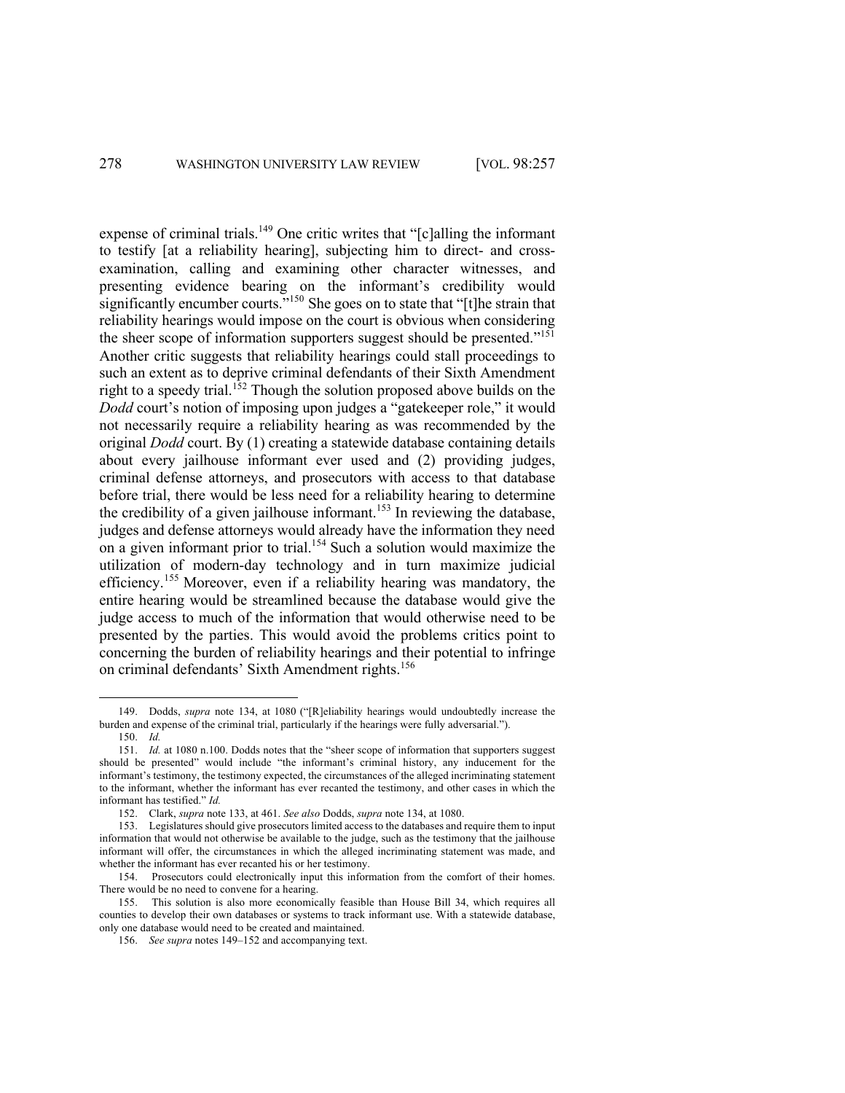expense of criminal trials.<sup>149</sup> One critic writes that "[c]alling the informant to testify [at a reliability hearing], subjecting him to direct- and crossexamination, calling and examining other character witnesses, and presenting evidence bearing on the informant's credibility would significantly encumber courts."<sup>150</sup> She goes on to state that "[t]he strain that reliability hearings would impose on the court is obvious when considering the sheer scope of information supporters suggest should be presented."<sup>151</sup> Another critic suggests that reliability hearings could stall proceedings to such an extent as to deprive criminal defendants of their Sixth Amendment right to a speedy trial.<sup>152</sup> Though the solution proposed above builds on the *Dodd* court's notion of imposing upon judges a "gatekeeper role," it would not necessarily require a reliability hearing as was recommended by the original *Dodd* court. By (1) creating a statewide database containing details about every jailhouse informant ever used and (2) providing judges, criminal defense attorneys, and prosecutors with access to that database before trial, there would be less need for a reliability hearing to determine the credibility of a given jailhouse informant.<sup>153</sup> In reviewing the database, judges and defense attorneys would already have the information they need on a given informant prior to trial.<sup>154</sup> Such a solution would maximize the utilization of modern-day technology and in turn maximize judicial efficiency.<sup>155</sup> Moreover, even if a reliability hearing was mandatory, the entire hearing would be streamlined because the database would give the judge access to much of the information that would otherwise need to be presented by the parties. This would avoid the problems critics point to concerning the burden of reliability hearings and their potential to infringe on criminal defendants' Sixth Amendment rights.<sup>156</sup>

<sup>149.</sup> Dodds, *supra* note 134, at 1080 ("[R]eliability hearings would undoubtedly increase the burden and expense of the criminal trial, particularly if the hearings were fully adversarial.").

<sup>150.</sup> *Id.*

<sup>151.</sup> *Id.* at 1080 n.100. Dodds notes that the "sheer scope of information that supporters suggest should be presented" would include "the informant's criminal history, any inducement for the informant's testimony, the testimony expected, the circumstances of the alleged incriminating statement to the informant, whether the informant has ever recanted the testimony, and other cases in which the informant has testified." *Id.*

<sup>152.</sup> Clark, *supra* note 133, at 461. *See also* Dodds, *supra* note 134, at 1080.

<sup>153.</sup> Legislatures should give prosecutors limited access to the databases and require them to input information that would not otherwise be available to the judge, such as the testimony that the jailhouse informant will offer, the circumstances in which the alleged incriminating statement was made, and whether the informant has ever recanted his or her testimony.

<sup>154.</sup> Prosecutors could electronically input this information from the comfort of their homes. There would be no need to convene for a hearing.

<sup>155.</sup> This solution is also more economically feasible than House Bill 34, which requires all counties to develop their own databases or systems to track informant use. With a statewide database, only one database would need to be created and maintained.

<sup>156.</sup> *See supra* notes 149–152 and accompanying text.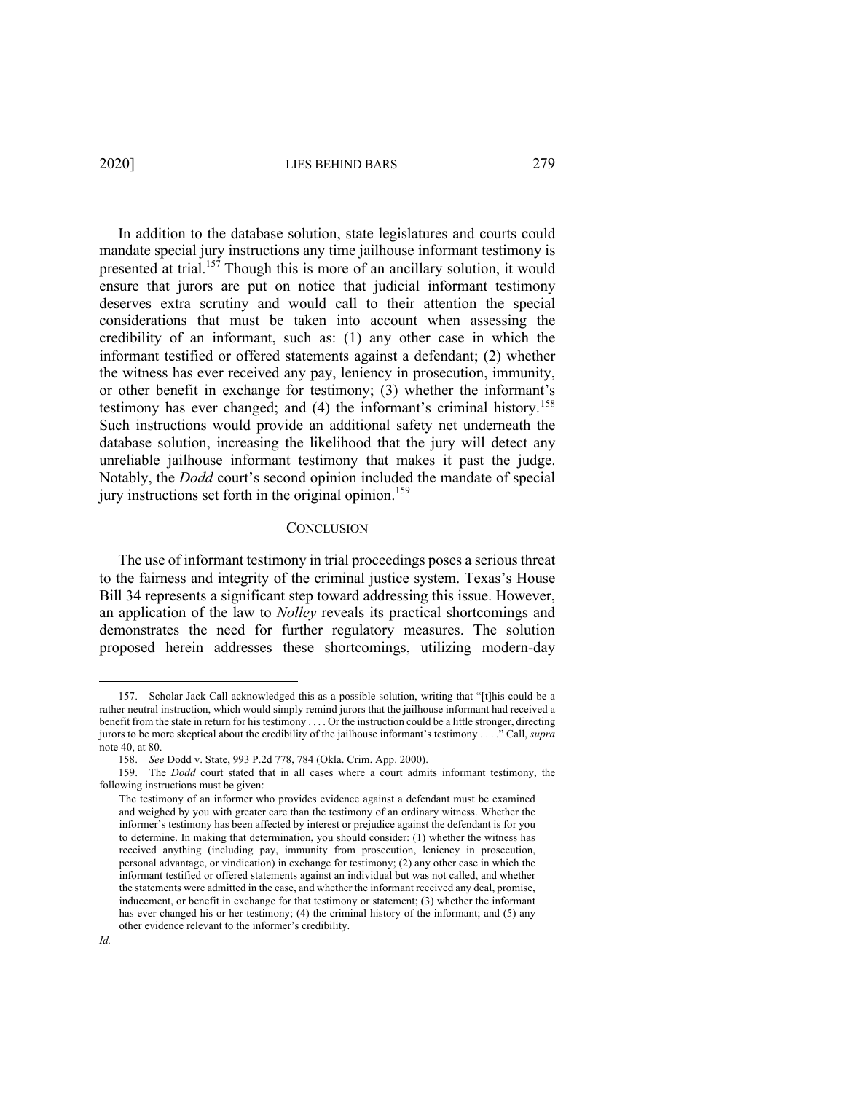In addition to the database solution, state legislatures and courts could mandate special jury instructions any time jailhouse informant testimony is presented at trial.<sup>157</sup> Though this is more of an ancillary solution, it would ensure that jurors are put on notice that judicial informant testimony deserves extra scrutiny and would call to their attention the special considerations that must be taken into account when assessing the credibility of an informant, such as: (1) any other case in which the informant testified or offered statements against a defendant; (2) whether the witness has ever received any pay, leniency in prosecution, immunity, or other benefit in exchange for testimony; (3) whether the informant's testimony has ever changed; and (4) the informant's criminal history.<sup>158</sup> Such instructions would provide an additional safety net underneath the database solution, increasing the likelihood that the jury will detect any unreliable jailhouse informant testimony that makes it past the judge. Notably, the *Dodd* court's second opinion included the mandate of special jury instructions set forth in the original opinion.<sup>159</sup>

#### **CONCLUSION**

The use of informant testimony in trial proceedings poses a serious threat to the fairness and integrity of the criminal justice system. Texas's House Bill 34 represents a significant step toward addressing this issue. However, an application of the law to *Nolley* reveals its practical shortcomings and demonstrates the need for further regulatory measures. The solution proposed herein addresses these shortcomings, utilizing modern-day

<sup>157.</sup> Scholar Jack Call acknowledged this as a possible solution, writing that "[t]his could be a rather neutral instruction, which would simply remind jurors that the jailhouse informant had received a benefit from the state in return for his testimony . . . . Or the instruction could be a little stronger, directing jurors to be more skeptical about the credibility of the jailhouse informant's testimony . . . ." Call, *supra* note 40, at 80.

<sup>158.</sup> *See* Dodd v. State, 993 P.2d 778, 784 (Okla. Crim. App. 2000).

<sup>159.</sup> The *Dodd* court stated that in all cases where a court admits informant testimony, the following instructions must be given:

The testimony of an informer who provides evidence against a defendant must be examined and weighed by you with greater care than the testimony of an ordinary witness. Whether the informer's testimony has been affected by interest or prejudice against the defendant is for you to determine. In making that determination, you should consider: (1) whether the witness has received anything (including pay, immunity from prosecution, leniency in prosecution, personal advantage, or vindication) in exchange for testimony; (2) any other case in which the informant testified or offered statements against an individual but was not called, and whether the statements were admitted in the case, and whether the informant received any deal, promise, inducement, or benefit in exchange for that testimony or statement; (3) whether the informant has ever changed his or her testimony; (4) the criminal history of the informant; and (5) any other evidence relevant to the informer's credibility.